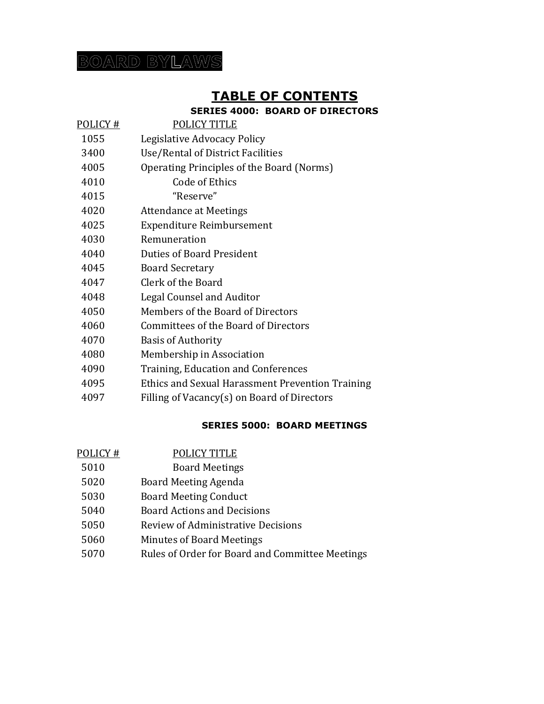## **BOARD BYLAWS**

## **TABLE OF CONTENTS**

### **SERIES 4000: BOARD OF DIRECTORS**

- POLICY # POLICY TITLE
- 1055 Legislative Advocacy Policy
- Use/Rental of District Facilities
- Operating Principles of the Board (Norms)
- Code of Ethics

"Reserve"

- Attendance at Meetings
- Expenditure Reimbursement
- Remuneration
- Duties of Board President
- Board Secretary
- Clerk of the Board
- Legal Counsel and Auditor
- Members of the Board of Directors
- Committees of the Board of Directors
- Basis of Authority
- Membership in Association
- Training, Education and Conferences
- Ethics and Sexual Harassment Prevention Training
- Filling of Vacancy(s) on Board of Directors

#### **SERIES 5000: BOARD MEETINGS**

- POLICY # POLICY TITLE
- Board Meetings
- Board Meeting Agenda
- Board Meeting Conduct
- Board Actions and Decisions
- Review of Administrative Decisions
- Minutes of Board Meetings
- Rules of Order for Board and Committee Meetings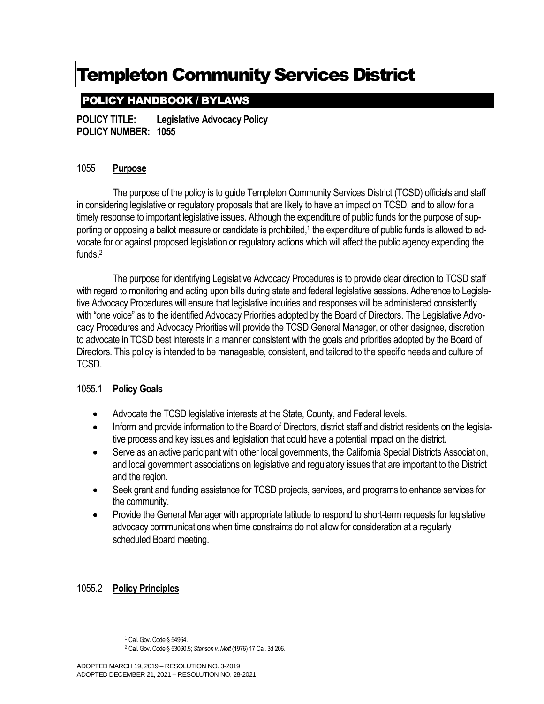## POLICY HANDBOOK / BYLAWS

**POLICY TITLE: Legislative Advocacy Policy POLICY NUMBER: 1055**

### 1055 **Purpose**

The purpose of the policy is to guide Templeton Community Services District (TCSD) officials and staff in considering legislative or regulatory proposals that are likely to have an impact on TCSD, and to allow for a timely response to important legislative issues. Although the expenditure of public funds for the purpose of supporting or opposing a ballot measure or candidate is prohibited,<sup>1</sup> the expenditure of public funds is allowed to advocate for or against proposed legislation or regulatory actions which will affect the public agency expending the funds.<sup>2</sup>

The purpose for identifying Legislative Advocacy Procedures is to provide clear direction to TCSD staff with regard to monitoring and acting upon bills during state and federal legislative sessions. Adherence to Legislative Advocacy Procedures will ensure that legislative inquiries and responses will be administered consistently with "one voice" as to the identified Advocacy Priorities adopted by the Board of Directors. The Legislative Advocacy Procedures and Advocacy Priorities will provide the TCSD General Manager, or other designee, discretion to advocate in TCSD best interests in a manner consistent with the goals and priorities adopted by the Board of Directors. This policy is intended to be manageable, consistent, and tailored to the specific needs and culture of TCSD.

### 1055.1 **Policy Goals**

- Advocate the TCSD legislative interests at the State, County, and Federal levels.
- Inform and provide information to the Board of Directors, district staff and district residents on the legislative process and key issues and legislation that could have a potential impact on the district.
- Serve as an active participant with other local governments, the California Special Districts Association, and local government associations on legislative and regulatory issues that are important to the District and the region.
- Seek grant and funding assistance for TCSD projects, services, and programs to enhance services for the community.
- Provide the General Manager with appropriate latitude to respond to short-term requests for legislative advocacy communications when time constraints do not allow for consideration at a regularly scheduled Board meeting.

### 1055.2 **Policy Principles**

<sup>&</sup>lt;sup>1</sup> Cal. Gov. Code § 54964.

<sup>2</sup> Cal. Gov. Code § 53060.5; *Stanson v. Mott* (1976) 17 Cal. 3d 206.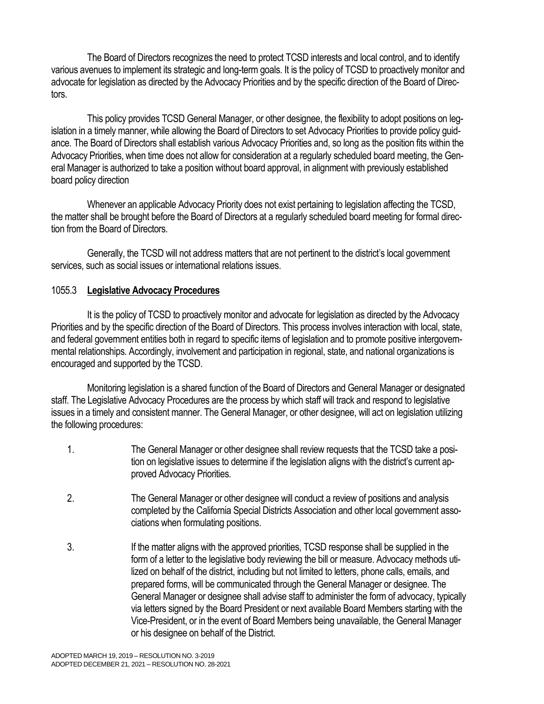The Board of Directors recognizes the need to protect TCSD interests and local control, and to identify various avenues to implement its strategic and long-term goals. It is the policy of TCSD to proactively monitor and advocate for legislation as directed by the Advocacy Priorities and by the specific direction of the Board of Directors.

This policy provides TCSD General Manager, or other designee, the flexibility to adopt positions on legislation in a timely manner, while allowing the Board of Directors to set Advocacy Priorities to provide policy guidance. The Board of Directors shall establish various Advocacy Priorities and, so long as the position fits within the Advocacy Priorities, when time does not allow for consideration at a regularly scheduled board meeting, the General Manager is authorized to take a position without board approval, in alignment with previously established board policy direction

Whenever an applicable Advocacy Priority does not exist pertaining to legislation affecting the TCSD, the matter shall be brought before the Board of Directors at a regularly scheduled board meeting for formal direction from the Board of Directors.

Generally, the TCSD will not address matters that are not pertinent to the district's local government services, such as social issues or international relations issues.

#### 1055.3 **Legislative Advocacy Procedures**

It is the policy of TCSD to proactively monitor and advocate for legislation as directed by the Advocacy Priorities and by the specific direction of the Board of Directors. This process involves interaction with local, state, and federal government entities both in regard to specific items of legislation and to promote positive intergovernmental relationships. Accordingly, involvement and participation in regional, state, and national organizations is encouraged and supported by the TCSD.

Monitoring legislation is a shared function of the Board of Directors and General Manager or designated staff. The Legislative Advocacy Procedures are the process by which staff will track and respond to legislative issues in a timely and consistent manner. The General Manager, or other designee, will act on legislation utilizing the following procedures:

- 1. The General Manager or other designee shall review requests that the TCSD take a position on legislative issues to determine if the legislation aligns with the district's current approved Advocacy Priorities.
- 2. The General Manager or other designee will conduct a review of positions and analysis completed by the California Special Districts Association and other local government associations when formulating positions.
- 3. If the matter aligns with the approved priorities, TCSD response shall be supplied in the form of a letter to the legislative body reviewing the bill or measure. Advocacy methods utilized on behalf of the district, including but not limited to letters, phone calls, emails, and prepared forms, will be communicated through the General Manager or designee. The General Manager or designee shall advise staff to administer the form of advocacy, typically via letters signed by the Board President or next available Board Members starting with the Vice-President, or in the event of Board Members being unavailable, the General Manager or his designee on behalf of the District.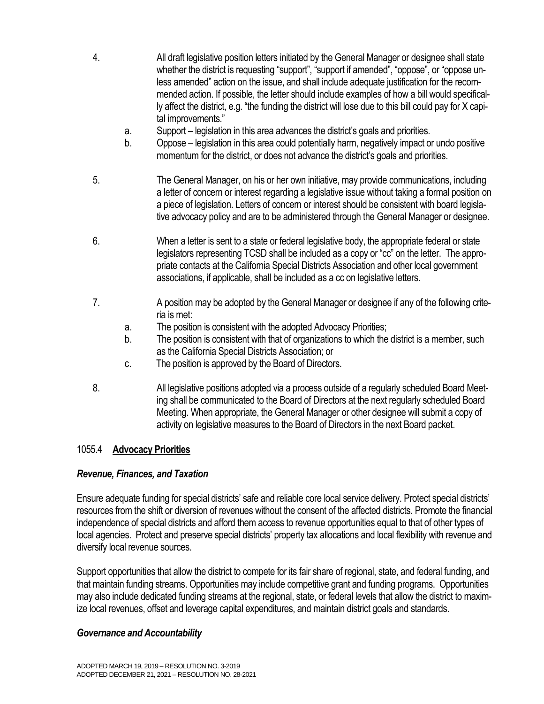- 4. All draft legislative position letters initiated by the General Manager or designee shall state whether the district is requesting "support", "support if amended", "oppose", or "oppose unless amended" action on the issue, and shall include adequate justification for the recommended action. If possible, the letter should include examples of how a bill would specifically affect the district, e.g. "the funding the district will lose due to this bill could pay for X capital improvements."
	- a. Support legislation in this area advances the district's goals and priorities.
	- b. Oppose legislation in this area could potentially harm, negatively impact or undo positive momentum for the district, or does not advance the district's goals and priorities.
- 5. The General Manager, on his or her own initiative, may provide communications, including a letter of concern or interest regarding a legislative issue without taking a formal position on a piece of legislation. Letters of concern or interest should be consistent with board legislative advocacy policy and are to be administered through the General Manager or designee.
- 6. When a letter is sent to a state or federal legislative body, the appropriate federal or state legislators representing TCSD shall be included as a copy or "cc" on the letter. The appropriate contacts at the California Special Districts Association and other local government associations, if applicable, shall be included as a cc on legislative letters.
- 7. A position may be adopted by the General Manager or designee if any of the following criteria is met:
	- a. The position is consistent with the adopted Advocacy Priorities;
	- b. The position is consistent with that of organizations to which the district is a member, such as the California Special Districts Association; or
	- c. The position is approved by the Board of Directors.
- 8. All legislative positions adopted via a process outside of a regularly scheduled Board Meeting shall be communicated to the Board of Directors at the next regularly scheduled Board Meeting. When appropriate, the General Manager or other designee will submit a copy of activity on legislative measures to the Board of Directors in the next Board packet.

#### 1055.4 **Advocacy Priorities**

#### *Revenue, Finances, and Taxation*

Ensure adequate funding for special districts' safe and reliable core local service delivery. Protect special districts' resources from the shift or diversion of revenues without the consent of the affected districts. Promote the financial independence of special districts and afford them access to revenue opportunities equal to that of other types of local agencies. Protect and preserve special districts' property tax allocations and local flexibility with revenue and diversify local revenue sources.

Support opportunities that allow the district to compete for its fair share of regional, state, and federal funding, and that maintain funding streams. Opportunities may include competitive grant and funding programs. Opportunities may also include dedicated funding streams at the regional, state, or federal levels that allow the district to maximize local revenues, offset and leverage capital expenditures, and maintain district goals and standards.

#### *Governance and Accountability*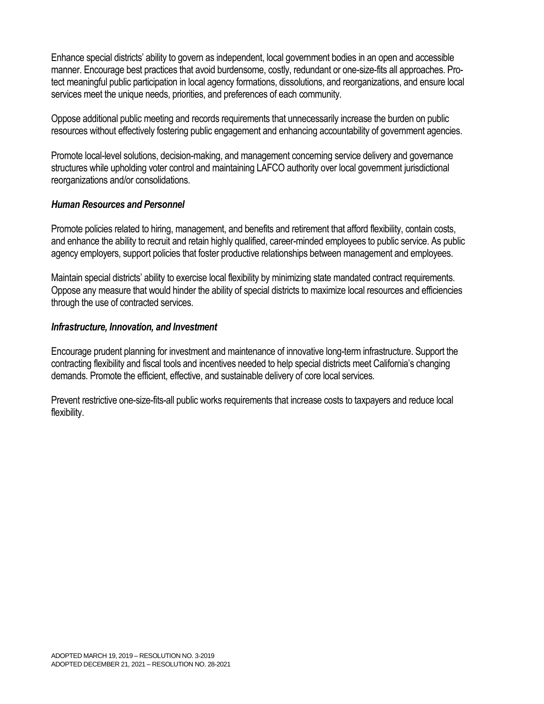Enhance special districts' ability to govern as independent, local government bodies in an open and accessible manner. Encourage best practices that avoid burdensome, costly, redundant or one-size-fits all approaches. Protect meaningful public participation in local agency formations, dissolutions, and reorganizations, and ensure local services meet the unique needs, priorities, and preferences of each community.

Oppose additional public meeting and records requirements that unnecessarily increase the burden on public resources without effectively fostering public engagement and enhancing accountability of government agencies.

Promote local-level solutions, decision-making, and management concerning service delivery and governance structures while upholding voter control and maintaining LAFCO authority over local government jurisdictional reorganizations and/or consolidations.

#### *Human Resources and Personnel*

Promote policies related to hiring, management, and benefits and retirement that afford flexibility, contain costs, and enhance the ability to recruit and retain highly qualified, career-minded employees to public service. As public agency employers, support policies that foster productive relationships between management and employees.

Maintain special districts' ability to exercise local flexibility by minimizing state mandated contract requirements. Oppose any measure that would hinder the ability of special districts to maximize local resources and efficiencies through the use of contracted services.

#### *Infrastructure, Innovation, and Investment*

Encourage prudent planning for investment and maintenance of innovative long-term infrastructure. Support the contracting flexibility and fiscal tools and incentives needed to help special districts meet California's changing demands. Promote the efficient, effective, and sustainable delivery of core local services.

Prevent restrictive one-size-fits-all public works requirements that increase costs to taxpayers and reduce local flexibility.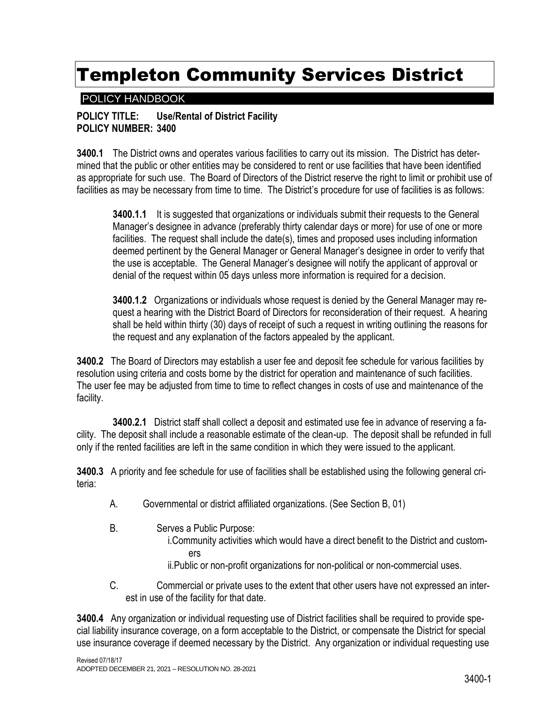### POLICY HANDBOOK

#### **POLICY TITLE: Use/Rental of District Facility POLICY NUMBER: 3400**

**3400.1** The District owns and operates various facilities to carry out its mission. The District has determined that the public or other entities may be considered to rent or use facilities that have been identified as appropriate for such use. The Board of Directors of the District reserve the right to limit or prohibit use of facilities as may be necessary from time to time. The District's procedure for use of facilities is as follows:

**3400.1.1** It is suggested that organizations or individuals submit their requests to the General Manager's designee in advance (preferably thirty calendar days or more) for use of one or more facilities. The request shall include the date(s), times and proposed uses including information deemed pertinent by the General Manager or General Manager's designee in order to verify that the use is acceptable. The General Manager's designee will notify the applicant of approval or denial of the request within 05 days unless more information is required for a decision.

**3400.1.2** Organizations or individuals whose request is denied by the General Manager may request a hearing with the District Board of Directors for reconsideration of their request. A hearing shall be held within thirty (30) days of receipt of such a request in writing outlining the reasons for the request and any explanation of the factors appealed by the applicant.

**3400.2** The Board of Directors may establish a user fee and deposit fee schedule for various facilities by resolution using criteria and costs borne by the district for operation and maintenance of such facilities. The user fee may be adjusted from time to time to reflect changes in costs of use and maintenance of the facility.

**3400.2.1** District staff shall collect a deposit and estimated use fee in advance of reserving a facility. The deposit shall include a reasonable estimate of the clean-up. The deposit shall be refunded in full only if the rented facilities are left in the same condition in which they were issued to the applicant.

**3400.3** A priority and fee schedule for use of facilities shall be established using the following general criteria:

- A. Governmental or district affiliated organizations. (See Section B, 01)
- B. Serves a Public Purpose: i.Community activities which would have a direct benefit to the District and customers ii.Public or non-profit organizations for non-political or non-commercial uses.
- C. Commercial or private uses to the extent that other users have not expressed an interest in use of the facility for that date.

**3400.4** Any organization or individual requesting use of District facilities shall be required to provide special liability insurance coverage, on a form acceptable to the District, or compensate the District for special use insurance coverage if deemed necessary by the District. Any organization or individual requesting use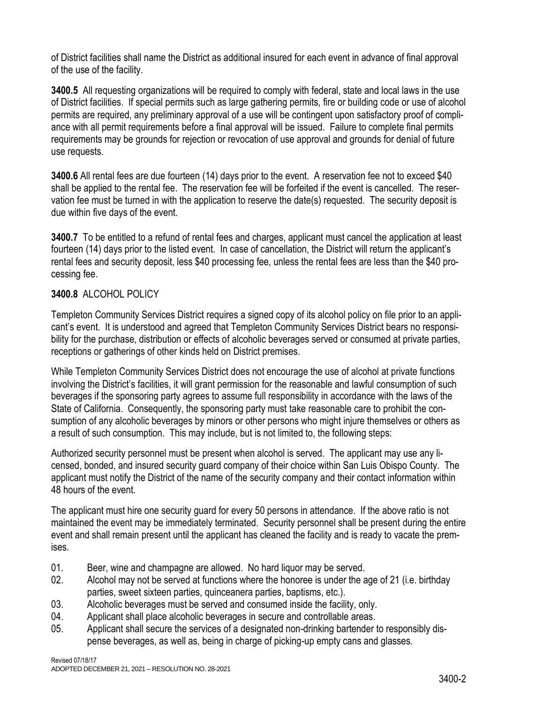of District facilities shall name the District as additional insured for each event in advance of final approval of the use of the facility.

**3400.5** All requesting organizations will be required to comply with federal, state and local laws in the use of District facilities. If special permits such as large gathering permits, fire or building code or use of alcohol permits are required, any preliminary approval of a use will be contingent upon satisfactory proof of compliance with all permit requirements before a final approval will be issued. Failure to complete final permits requirements may be grounds for rejection or revocation of use approval and grounds for denial of future use requests.

**3400.6** All rental fees are due fourteen (14) days prior to the event. A reservation fee not to exceed \$40 shall be applied to the rental fee. The reservation fee will be forfeited if the event is cancelled. The reservation fee must be turned in with the application to reserve the date(s) requested. The security deposit is due within five days of the event.

**3400.7** To be entitled to a refund of rental fees and charges, applicant must cancel the application at least fourteen (14) days prior to the listed event. In case of cancellation, the District will return the applicant's rental fees and security deposit, less \$40 processing fee, unless the rental fees are less than the \$40 processing fee.

### **3400.8** ALCOHOL POLICY

Templeton Community Services District requires a signed copy of its alcohol policy on file prior to an applicant's event. It is understood and agreed that Templeton Community Services District bears no responsibility for the purchase, distribution or effects of alcoholic beverages served or consumed at private parties, receptions or gatherings of other kinds held on District premises.

While Templeton Community Services District does not encourage the use of alcohol at private functions involving the District's facilities, it will grant permission for the reasonable and lawful consumption of such beverages if the sponsoring party agrees to assume full responsibility in accordance with the laws of the State of California. Consequently, the sponsoring party must take reasonable care to prohibit the consumption of any alcoholic beverages by minors or other persons who might injure themselves or others as a result of such consumption. This may include, but is not limited to, the following steps:

Authorized security personnel must be present when alcohol is served. The applicant may use any licensed, bonded, and insured security guard company of their choice within San Luis Obispo County. The applicant must notify the District of the name of the security company and their contact information within 48 hours of the event.

The applicant must hire one security guard for every 50 persons in attendance. If the above ratio is not maintained the event may be immediately terminated. Security personnel shall be present during the entire event and shall remain present until the applicant has cleaned the facility and is ready to vacate the premises.

- 01. Beer, wine and champagne are allowed. No hard liquor may be served.
- 02. Alcohol may not be served at functions where the honoree is under the age of 21 (i.e. birthday parties, sweet sixteen parties, quinceanera parties, baptisms, etc.).
- 03. Alcoholic beverages must be served and consumed inside the facility, only.
- 04. Applicant shall place alcoholic beverages in secure and controllable areas.
- 05. Applicant shall secure the services of a designated non-drinking bartender to responsibly dispense beverages, as well as, being in charge of picking-up empty cans and glasses.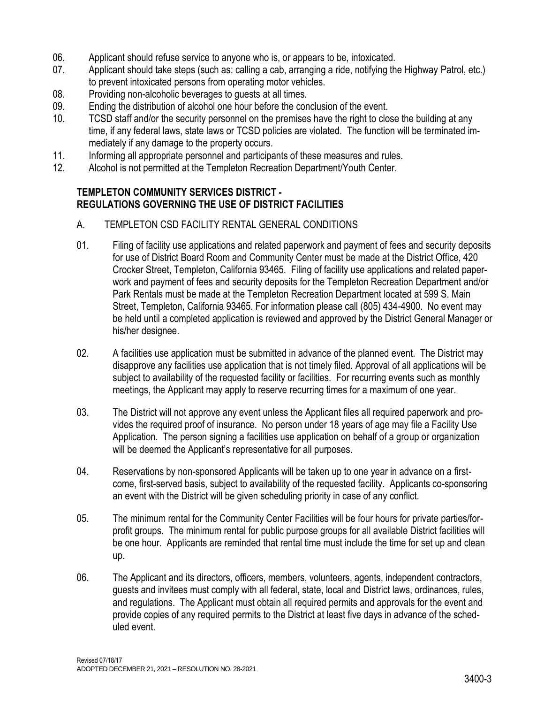- 06. Applicant should refuse service to anyone who is, or appears to be, intoxicated.
- 07. Applicant should take steps (such as: calling a cab, arranging a ride, notifying the Highway Patrol, etc.) to prevent intoxicated persons from operating motor vehicles.
- 08. Providing non-alcoholic beverages to guests at all times.
- 09. Ending the distribution of alcohol one hour before the conclusion of the event.
- 10. TCSD staff and/or the security personnel on the premises have the right to close the building at any time, if any federal laws, state laws or TCSD policies are violated. The function will be terminated immediately if any damage to the property occurs.
- 11. Informing all appropriate personnel and participants of these measures and rules.
- 12. Alcohol is not permitted at the Templeton Recreation Department/Youth Center.

#### **TEMPLETON COMMUNITY SERVICES DISTRICT - REGULATIONS GOVERNING THE USE OF DISTRICT FACILITIES**

- A. TEMPLETON CSD FACILITY RENTAL GENERAL CONDITIONS
- 01. Filing of facility use applications and related paperwork and payment of fees and security deposits for use of District Board Room and Community Center must be made at the District Office, 420 Crocker Street, Templeton, California 93465. Filing of facility use applications and related paperwork and payment of fees and security deposits for the Templeton Recreation Department and/or Park Rentals must be made at the Templeton Recreation Department located at 599 S. Main Street, Templeton, California 93465. For information please call (805) 434-4900. No event may be held until a completed application is reviewed and approved by the District General Manager or his/her designee.
- 02. A facilities use application must be submitted in advance of the planned event. The District may disapprove any facilities use application that is not timely filed. Approval of all applications will be subject to availability of the requested facility or facilities. For recurring events such as monthly meetings, the Applicant may apply to reserve recurring times for a maximum of one year.
- 03. The District will not approve any event unless the Applicant files all required paperwork and provides the required proof of insurance. No person under 18 years of age may file a Facility Use Application. The person signing a facilities use application on behalf of a group or organization will be deemed the Applicant's representative for all purposes.
- 04. Reservations by non-sponsored Applicants will be taken up to one year in advance on a firstcome, first-served basis, subject to availability of the requested facility. Applicants co-sponsoring an event with the District will be given scheduling priority in case of any conflict.
- 05. The minimum rental for the Community Center Facilities will be four hours for private parties/forprofit groups. The minimum rental for public purpose groups for all available District facilities will be one hour. Applicants are reminded that rental time must include the time for set up and clean up.
- 06. The Applicant and its directors, officers, members, volunteers, agents, independent contractors, guests and invitees must comply with all federal, state, local and District laws, ordinances, rules, and regulations. The Applicant must obtain all required permits and approvals for the event and provide copies of any required permits to the District at least five days in advance of the scheduled event.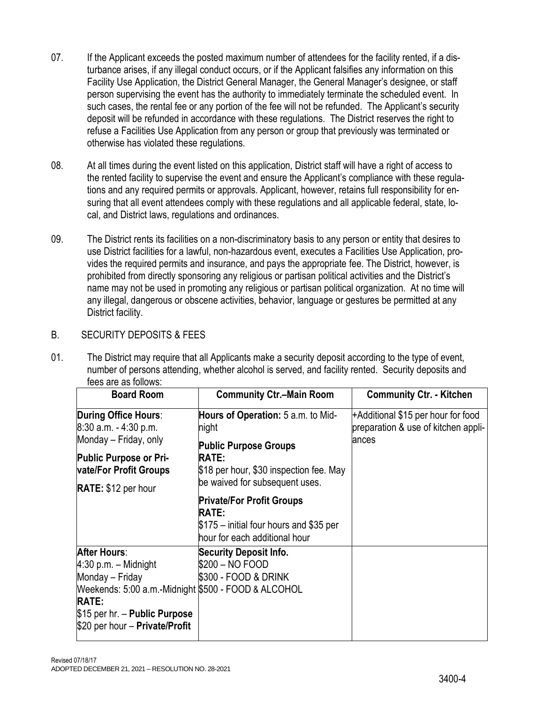- 07. If the Applicant exceeds the posted maximum number of attendees for the facility rented, if a disturbance arises, if any illegal conduct occurs, or if the Applicant falsifies any information on this Facility Use Application, the District General Manager, the General Manager's designee, or staff person supervising the event has the authority to immediately terminate the scheduled event. In such cases, the rental fee or any portion of the fee will not be refunded. The Applicant's security deposit will be refunded in accordance with these regulations. The District reserves the right to refuse a Facilities Use Application from any person or group that previously was terminated or otherwise has violated these regulations.
- 08. At all times during the event listed on this application, District staff will have a right of access to the rented facility to supervise the event and ensure the Applicant's compliance with these regulations and any required permits or approvals. Applicant, however, retains full responsibility for ensuring that all event attendees comply with these regulations and all applicable federal, state, local, and District laws, regulations and ordinances.
- 09. The District rents its facilities on a non-discriminatory basis to any person or entity that desires to use District facilities for a lawful, non-hazardous event, executes a Facilities Use Application, provides the required permits and insurance, and pays the appropriate fee. The District, however, is prohibited from directly sponsoring any religious or partisan political activities and the District's name may not be used in promoting any religious or partisan political organization. At no time will any illegal, dangerous or obscene activities, behavior, language or gestures be permitted at any District facility.

### B. SECURITY DEPOSITS & FEES

01. The District may require that all Applicants make a security deposit according to the type of event, number of persons attending, whether alcohol is served, and facility rented. Security deposits and fees are as follows:

| <b>Board Room</b>                                                   | <b>Community Ctr.-Main Room</b>                                          | <b>Community Ctr. - Kitchen</b>                                           |  |  |
|---------------------------------------------------------------------|--------------------------------------------------------------------------|---------------------------------------------------------------------------|--|--|
| During Office Hours:<br>$8:30$ a.m. $-4:30$ p.m.                    | Hours of Operation: 5 a.m. to Mid-<br>hight                              | +Additional \$15 per hour for food<br>preparation & use of kitchen appli- |  |  |
| Monday – Friday, only<br><b>Public Purpose or Pri-</b>              | <b>Public Purpose Groups</b><br><b>RATE:</b>                             | ances                                                                     |  |  |
| vate/For Profit Groups                                              | \$18 per hour, \$30 inspection fee. May                                  |                                                                           |  |  |
| RATE: \$12 per hour                                                 | be waived for subsequent uses.<br><b>Private/For Profit Groups</b>       |                                                                           |  |  |
|                                                                     | <b>RATE:</b>                                                             |                                                                           |  |  |
|                                                                     | \$175 – initial four hours and \$35 per<br>hour for each additional hour |                                                                           |  |  |
| <b>After Hours:</b>                                                 | <b>Security Deposit Info.</b>                                            |                                                                           |  |  |
| $4:30$ p.m. – Midnight                                              | \$200 – NO FOOD                                                          |                                                                           |  |  |
| Monday - Friday                                                     | \$300 - FOOD & DRINK                                                     |                                                                           |  |  |
| Meekends: 5:00 a.m.-Midnight \$500 - FOOD & ALCOHOL<br><b>RATE:</b> |                                                                          |                                                                           |  |  |
| \$15 per hr. – Public Purpose<br>\$20 per hour - Private/Profit     |                                                                          |                                                                           |  |  |
|                                                                     |                                                                          |                                                                           |  |  |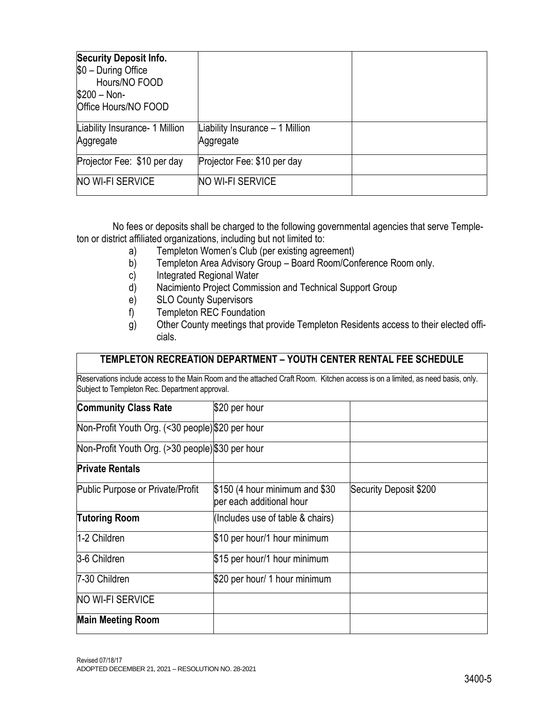| <b>Security Deposit Info.</b><br>$$0 - During Office$<br>Hours/NO FOOD<br>$$200 - Non-$<br>Office Hours/NO FOOD |                                               |  |
|-----------------------------------------------------------------------------------------------------------------|-----------------------------------------------|--|
| Liability Insurance- 1 Million<br>Aggregate                                                                     | Liability Insurance $-1$ Million<br>Aggregate |  |
| Projector Fee: \$10 per day                                                                                     | Projector Fee: \$10 per day                   |  |
| <b>NO WI-FI SERVICE</b>                                                                                         | <b>NO WI-FI SERVICE</b>                       |  |

No fees or deposits shall be charged to the following governmental agencies that serve Templeton or district affiliated organizations, including but not limited to:

- a) Templeton Women's Club (per existing agreement)
- b) Templeton Area Advisory Group Board Room/Conference Room only.
- c) Integrated Regional Water
- d) Nacimiento Project Commission and Technical Support Group
- e) SLO County Supervisors
- f) Templeton REC Foundation
- g) Other County meetings that provide Templeton Residents access to their elected officials.

#### **TEMPLETON RECREATION DEPARTMENT – YOUTH CENTER RENTAL FEE SCHEDULE**

Reservations include access to the Main Room and the attached Craft Room. Kitchen access is on a limited, as need basis, only. Subject to Templeton Rec. Department approval.

| <b>Community Class Rate</b>                     | \$20 per hour                                              |                        |
|-------------------------------------------------|------------------------------------------------------------|------------------------|
| Non-Profit Youth Org. (<30 people)\$20 per hour |                                                            |                        |
| Non-Profit Youth Org. (>30 people)\$30 per hour |                                                            |                        |
| <b>Private Rentals</b>                          |                                                            |                        |
| Public Purpose or Private/Profit                | \$150 (4 hour minimum and \$30<br>per each additional hour | Security Deposit \$200 |
| <b>Tutoring Room</b>                            | (Includes use of table & chairs)                           |                        |
| 1-2 Children                                    | \$10 per hour/1 hour minimum                               |                        |
| 3-6 Children                                    | \$15 per hour/1 hour minimum                               |                        |
| 7-30 Children                                   | \$20 per hour/ 1 hour minimum                              |                        |
| NO WI-FI SERVICE                                |                                                            |                        |
| <b>Main Meeting Room</b>                        |                                                            |                        |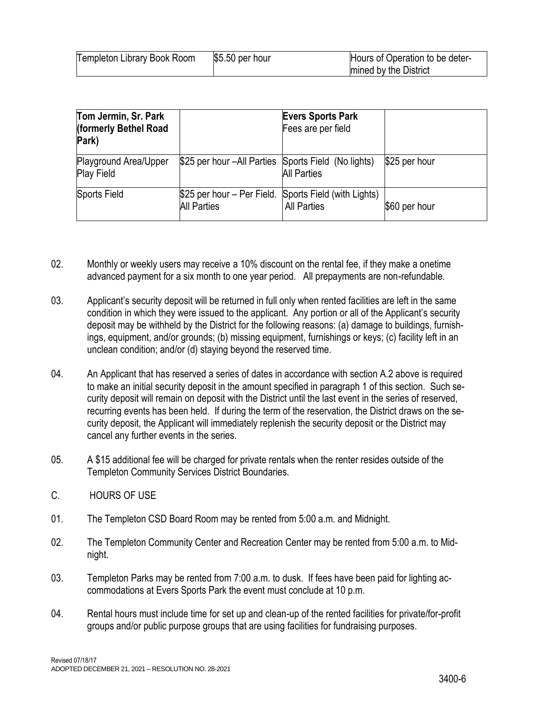| Templeton Library Book Room | $$5.50$ per hour | Hours of Operation to be deter- |
|-----------------------------|------------------|---------------------------------|
|                             |                  | mined by the District           |

| Tom Jermin, Sr. Park<br>(formerly Bethel Road<br>Park) |                                                                             | <b>Evers Sports Park</b><br>Fees are per field |               |
|--------------------------------------------------------|-----------------------------------------------------------------------------|------------------------------------------------|---------------|
| Playground Area/Upper<br><b>Play Field</b>             | \$25 per hour – All Parties Sports Field (No lights)                        | <b>All Parties</b>                             | \$25 per hour |
| Sports Field                                           | \$25 per hour – Per Field. Sports Field (with Lights)<br><b>All Parties</b> | <b>All Parties</b>                             | \$60 per hour |

- 02. Monthly or weekly users may receive a 10% discount on the rental fee, if they make a onetime advanced payment for a six month to one year period. All prepayments are non-refundable.
- 03. Applicant's security deposit will be returned in full only when rented facilities are left in the same condition in which they were issued to the applicant. Any portion or all of the Applicant's security deposit may be withheld by the District for the following reasons: (a) damage to buildings, furnishings, equipment, and/or grounds; (b) missing equipment, furnishings or keys; (c) facility left in an unclean condition; and/or (d) staying beyond the reserved time.
- 04. An Applicant that has reserved a series of dates in accordance with section A.2 above is required to make an initial security deposit in the amount specified in paragraph 1 of this section. Such security deposit will remain on deposit with the District until the last event in the series of reserved, recurring events has been held. If during the term of the reservation, the District draws on the security deposit, the Applicant will immediately replenish the security deposit or the District may cancel any further events in the series.
- 05. A \$15 additional fee will be charged for private rentals when the renter resides outside of the Templeton Community Services District Boundaries.
- C. HOURS OF USE
- 01. The Templeton CSD Board Room may be rented from 5:00 a.m. and Midnight.
- 02. The Templeton Community Center and Recreation Center may be rented from 5:00 a.m. to Midnight.
- 03. Templeton Parks may be rented from 7:00 a.m. to dusk. If fees have been paid for lighting accommodations at Evers Sports Park the event must conclude at 10 p.m.
- 04. Rental hours must include time for set up and clean-up of the rented facilities for private/for-profit groups and/or public purpose groups that are using facilities for fundraising purposes.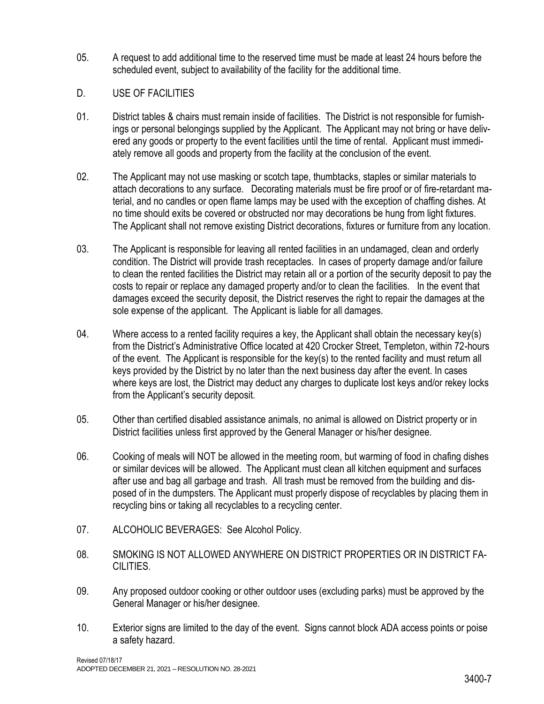- 05. A request to add additional time to the reserved time must be made at least 24 hours before the scheduled event, subject to availability of the facility for the additional time.
- D. USE OF FACILITIES
- 01. District tables & chairs must remain inside of facilities. The District is not responsible for furnishings or personal belongings supplied by the Applicant. The Applicant may not bring or have delivered any goods or property to the event facilities until the time of rental. Applicant must immediately remove all goods and property from the facility at the conclusion of the event.
- 02. The Applicant may not use masking or scotch tape, thumbtacks, staples or similar materials to attach decorations to any surface. Decorating materials must be fire proof or of fire-retardant material, and no candles or open flame lamps may be used with the exception of chaffing dishes. At no time should exits be covered or obstructed nor may decorations be hung from light fixtures. The Applicant shall not remove existing District decorations, fixtures or furniture from any location.
- 03. The Applicant is responsible for leaving all rented facilities in an undamaged, clean and orderly condition. The District will provide trash receptacles. In cases of property damage and/or failure to clean the rented facilities the District may retain all or a portion of the security deposit to pay the costs to repair or replace any damaged property and/or to clean the facilities. In the event that damages exceed the security deposit, the District reserves the right to repair the damages at the sole expense of the applicant. The Applicant is liable for all damages.
- 04. Where access to a rented facility requires a key, the Applicant shall obtain the necessary key(s) from the District's Administrative Office located at 420 Crocker Street, Templeton, within 72-hours of the event. The Applicant is responsible for the key(s) to the rented facility and must return all keys provided by the District by no later than the next business day after the event. In cases where keys are lost, the District may deduct any charges to duplicate lost keys and/or rekey locks from the Applicant's security deposit.
- 05. Other than certified disabled assistance animals, no animal is allowed on District property or in District facilities unless first approved by the General Manager or his/her designee.
- 06. Cooking of meals will NOT be allowed in the meeting room, but warming of food in chafing dishes or similar devices will be allowed. The Applicant must clean all kitchen equipment and surfaces after use and bag all garbage and trash. All trash must be removed from the building and disposed of in the dumpsters. The Applicant must properly dispose of recyclables by placing them in recycling bins or taking all recyclables to a recycling center.
- 07. ALCOHOLIC BEVERAGES: See Alcohol Policy.
- 08. SMOKING IS NOT ALLOWED ANYWHERE ON DISTRICT PROPERTIES OR IN DISTRICT FA-CILITIES.
- 09. Any proposed outdoor cooking or other outdoor uses (excluding parks) must be approved by the General Manager or his/her designee.
- 10. Exterior signs are limited to the day of the event. Signs cannot block ADA access points or poise a safety hazard.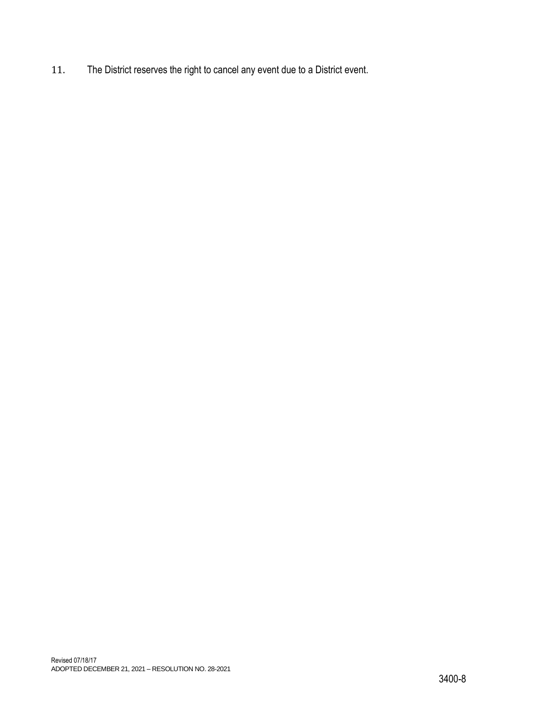11. The District reserves the right to cancel any event due to a District event.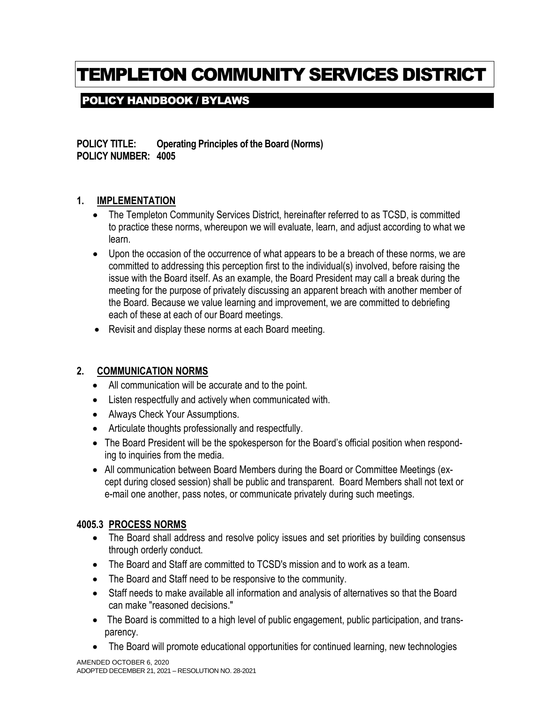# TEMPLETON COMMUNITY SERVICES DISTRICT

## POLICY HANDBOOK / BYLAWS

**POLICY TITLE: Operating Principles of the Board (Norms) POLICY NUMBER: 4005**

### **1. IMPLEMENTATION**

- The Templeton Community Services District, hereinafter referred to as TCSD, is committed to practice these norms, whereupon we will evaluate, learn, and adjust according to what we learn.
- Upon the occasion of the occurrence of what appears to be a breach of these norms, we are committed to addressing this perception first to the individual(s) involved, before raising the issue with the Board itself. As an example, the Board President may call a break during the meeting for the purpose of privately discussing an apparent breach with another member of the Board. Because we value learning and improvement, we are committed to debriefing each of these at each of our Board meetings.
- Revisit and display these norms at each Board meeting.

### **2. COMMUNICATION NORMS**

- All communication will be accurate and to the point.
- Listen respectfully and actively when communicated with.
- Always Check Your Assumptions.
- Articulate thoughts professionally and respectfully.
- The Board President will be the spokesperson for the Board's official position when responding to inquiries from the media.
- All communication between Board Members during the Board or Committee Meetings (except during closed session) shall be public and transparent. Board Members shall not text or e-mail one another, pass notes, or communicate privately during such meetings.

### **4005.3 PROCESS NORMS**

- The Board shall address and resolve policy issues and set priorities by building consensus through orderly conduct.
- The Board and Staff are committed to TCSD's mission and to work as a team.
- The Board and Staff need to be responsive to the community.
- Staff needs to make available all information and analysis of alternatives so that the Board can make "reasoned decisions."
- The Board is committed to a high level of public engagement, public participation, and transparency.
- The Board will promote educational opportunities for continued learning, new technologies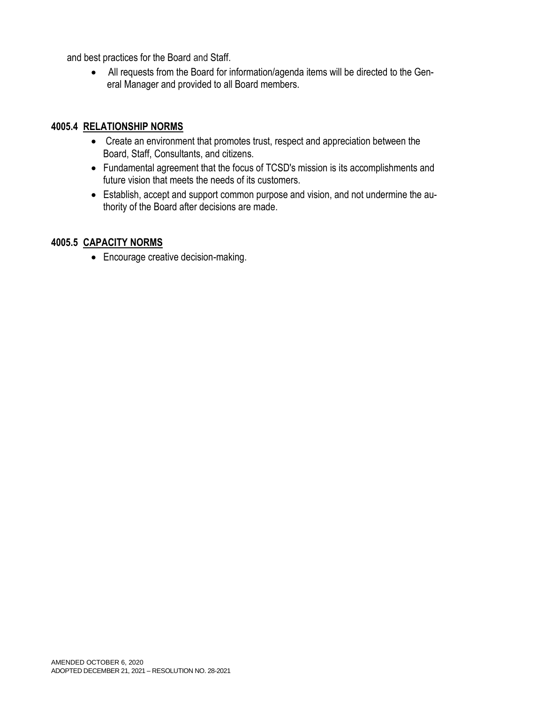and best practices for the Board and Staff.

• All requests from the Board for information/agenda items will be directed to the General Manager and provided to all Board members.

### **4005.4 RELATIONSHIP NORMS**

- Create an environment that promotes trust, respect and appreciation between the Board, Staff, Consultants, and citizens.
- Fundamental agreement that the focus of TCSD's mission is its accomplishments and future vision that meets the needs of its customers.
- Establish, accept and support common purpose and vision, and not undermine the authority of the Board after decisions are made.

### **4005.5 CAPACITY NORMS**

• Encourage creative decision-making.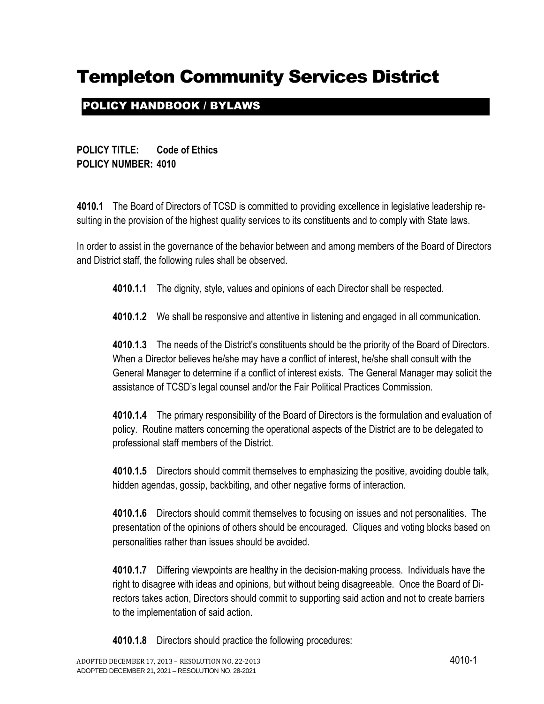## POLICY HANDBOOK / BYLAWS

**POLICY TITLE: Code of Ethics POLICY NUMBER: 4010**

**4010.1** The Board of Directors of TCSD is committed to providing excellence in legislative leadership resulting in the provision of the highest quality services to its constituents and to comply with State laws.

In order to assist in the governance of the behavior between and among members of the Board of Directors and District staff, the following rules shall be observed.

**4010.1.1** The dignity, style, values and opinions of each Director shall be respected.

**4010.1.2** We shall be responsive and attentive in listening and engaged in all communication.

**4010.1.3** The needs of the District's constituents should be the priority of the Board of Directors. When a Director believes he/she may have a conflict of interest, he/she shall consult with the General Manager to determine if a conflict of interest exists. The General Manager may solicit the assistance of TCSD's legal counsel and/or the Fair Political Practices Commission.

**4010.1.4** The primary responsibility of the Board of Directors is the formulation and evaluation of policy. Routine matters concerning the operational aspects of the District are to be delegated to professional staff members of the District.

**4010.1.5** Directors should commit themselves to emphasizing the positive, avoiding double talk, hidden agendas, gossip, backbiting, and other negative forms of interaction.

**4010.1.6** Directors should commit themselves to focusing on issues and not personalities. The presentation of the opinions of others should be encouraged. Cliques and voting blocks based on personalities rather than issues should be avoided.

**4010.1.7** Differing viewpoints are healthy in the decision-making process. Individuals have the right to disagree with ideas and opinions, but without being disagreeable. Once the Board of Directors takes action, Directors should commit to supporting said action and not to create barriers to the implementation of said action.

**4010.1.8** Directors should practice the following procedures: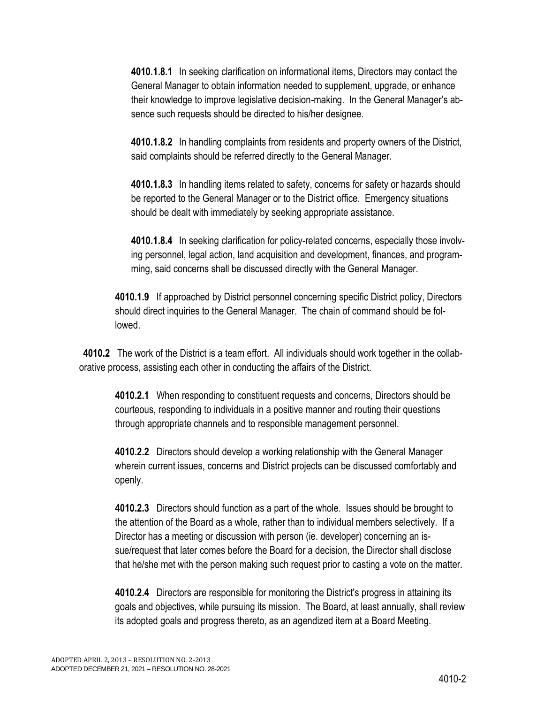**4010.1.8.1** In seeking clarification on informational items, Directors may contact the General Manager to obtain information needed to supplement, upgrade, or enhance their knowledge to improve legislative decision-making. In the General Manager's absence such requests should be directed to his/her designee.

**4010.1.8.2** In handling complaints from residents and property owners of the District, said complaints should be referred directly to the General Manager.

**4010.1.8.3** In handling items related to safety, concerns for safety or hazards should be reported to the General Manager or to the District office. Emergency situations should be dealt with immediately by seeking appropriate assistance.

**4010.1.8.4** In seeking clarification for policy-related concerns, especially those involving personnel, legal action, land acquisition and development, finances, and programming, said concerns shall be discussed directly with the General Manager.

**4010.1.9** If approached by District personnel concerning specific District policy, Directors should direct inquiries to the General Manager. The chain of command should be followed.

**4010.2** The work of the District is a team effort. All individuals should work together in the collaborative process, assisting each other in conducting the affairs of the District.

**4010.2.1** When responding to constituent requests and concerns, Directors should be courteous, responding to individuals in a positive manner and routing their questions through appropriate channels and to responsible management personnel.

**4010.2.2** Directors should develop a working relationship with the General Manager wherein current issues, concerns and District projects can be discussed comfortably and openly.

**4010.2.3** Directors should function as a part of the whole. Issues should be brought to the attention of the Board as a whole, rather than to individual members selectively. If a Director has a meeting or discussion with person (ie. developer) concerning an issue/request that later comes before the Board for a decision, the Director shall disclose that he/she met with the person making such request prior to casting a vote on the matter.

**4010.2.4** Directors are responsible for monitoring the District's progress in attaining its goals and objectives, while pursuing its mission. The Board, at least annually, shall review its adopted goals and progress thereto, as an agendized item at a Board Meeting.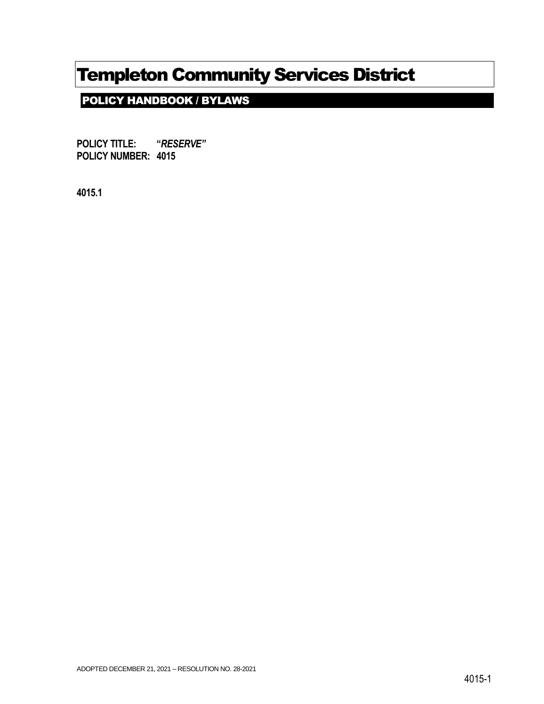POLICY HANDBOOK / BYLAWS

**POLICY TITLE: "***RESERVE"* **POLICY NUMBER: 4015**

**4015.1**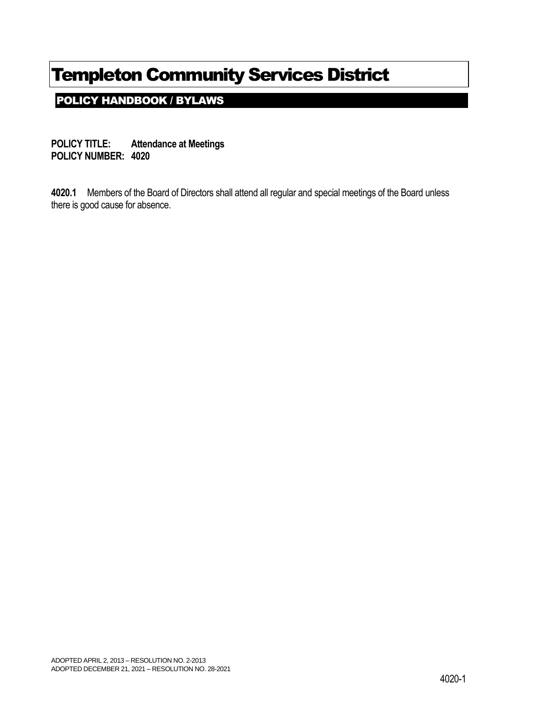POLICY HANDBOOK / BYLAWS

**POLICY TITLE: Attendance at Meetings POLICY NUMBER: 4020**

**4020.1** Members of the Board of Directors shall attend all regular and special meetings of the Board unless there is good cause for absence.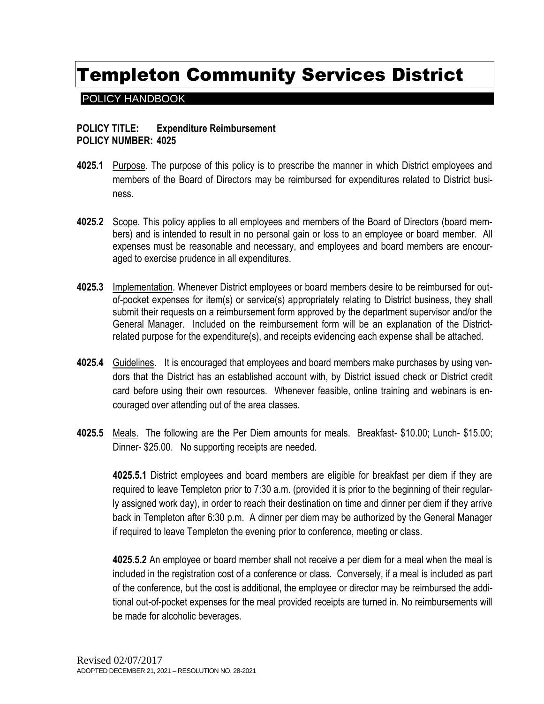### POLICY HANDBOOK

#### **POLICY TITLE: Expenditure Reimbursement POLICY NUMBER: 4025**

- **4025.1** Purpose. The purpose of this policy is to prescribe the manner in which District employees and members of the Board of Directors may be reimbursed for expenditures related to District business.
- **4025.2** Scope. This policy applies to all employees and members of the Board of Directors (board members) and is intended to result in no personal gain or loss to an employee or board member. All expenses must be reasonable and necessary, and employees and board members are encouraged to exercise prudence in all expenditures.
- **4025.3** Implementation. Whenever District employees or board members desire to be reimbursed for outof-pocket expenses for item(s) or service(s) appropriately relating to District business, they shall submit their requests on a reimbursement form approved by the department supervisor and/or the General Manager. Included on the reimbursement form will be an explanation of the Districtrelated purpose for the expenditure(s), and receipts evidencing each expense shall be attached.
- **4025.4** Guidelines. It is encouraged that employees and board members make purchases by using vendors that the District has an established account with, by District issued check or District credit card before using their own resources. Whenever feasible, online training and webinars is encouraged over attending out of the area classes.
- **4025.5** Meals. The following are the Per Diem amounts for meals. Breakfast- \$10.00; Lunch- \$15.00; Dinner- \$25.00. No supporting receipts are needed.

**4025.5.1** District employees and board members are eligible for breakfast per diem if they are required to leave Templeton prior to 7:30 a.m. (provided it is prior to the beginning of their regularly assigned work day), in order to reach their destination on time and dinner per diem if they arrive back in Templeton after 6:30 p.m. A dinner per diem may be authorized by the General Manager if required to leave Templeton the evening prior to conference, meeting or class.

**4025.5.2** An employee or board member shall not receive a per diem for a meal when the meal is included in the registration cost of a conference or class. Conversely, if a meal is included as part of the conference, but the cost is additional, the employee or director may be reimbursed the additional out-of-pocket expenses for the meal provided receipts are turned in. No reimbursements will be made for alcoholic beverages.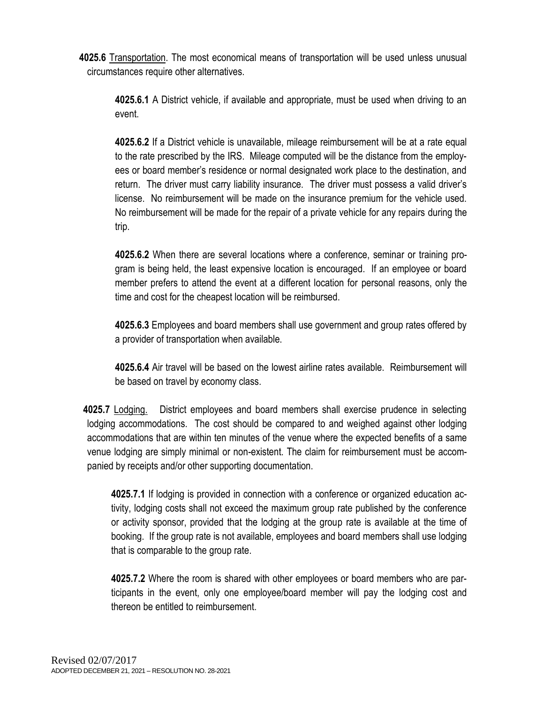**4025.6** Transportation. The most economical means of transportation will be used unless unusual circumstances require other alternatives.

**4025.6.1** A District vehicle, if available and appropriate, must be used when driving to an event.

**4025.6.2** If a District vehicle is unavailable, mileage reimbursement will be at a rate equal to the rate prescribed by the IRS. Mileage computed will be the distance from the employees or board member's residence or normal designated work place to the destination, and return. The driver must carry liability insurance. The driver must possess a valid driver's license. No reimbursement will be made on the insurance premium for the vehicle used. No reimbursement will be made for the repair of a private vehicle for any repairs during the trip.

**4025.6.2** When there are several locations where a conference, seminar or training program is being held, the least expensive location is encouraged. If an employee or board member prefers to attend the event at a different location for personal reasons, only the time and cost for the cheapest location will be reimbursed.

**4025.6.3** Employees and board members shall use government and group rates offered by a provider of transportation when available.

**4025.6.4** Air travel will be based on the lowest airline rates available. Reimbursement will be based on travel by economy class.

**4025.7** Lodging. District employees and board members shall exercise prudence in selecting lodging accommodations. The cost should be compared to and weighed against other lodging accommodations that are within ten minutes of the venue where the expected benefits of a same venue lodging are simply minimal or non-existent. The claim for reimbursement must be accompanied by receipts and/or other supporting documentation.

**4025.7.1** If lodging is provided in connection with a conference or organized education activity, lodging costs shall not exceed the maximum group rate published by the conference or activity sponsor, provided that the lodging at the group rate is available at the time of booking. If the group rate is not available, employees and board members shall use lodging that is comparable to the group rate.

**4025.7.2** Where the room is shared with other employees or board members who are participants in the event, only one employee/board member will pay the lodging cost and thereon be entitled to reimbursement.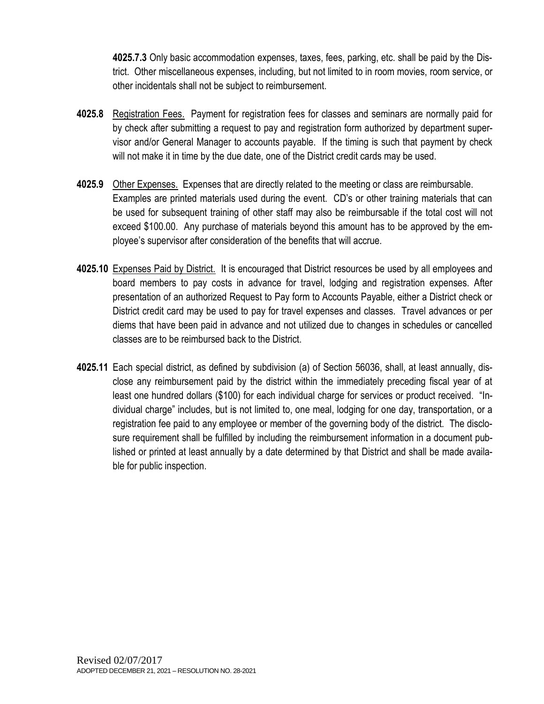**4025.7.3** Only basic accommodation expenses, taxes, fees, parking, etc. shall be paid by the District. Other miscellaneous expenses, including, but not limited to in room movies, room service, or other incidentals shall not be subject to reimbursement.

- **4025.8** Registration Fees. Payment for registration fees for classes and seminars are normally paid for by check after submitting a request to pay and registration form authorized by department supervisor and/or General Manager to accounts payable. If the timing is such that payment by check will not make it in time by the due date, one of the District credit cards may be used.
- **4025.9** Other Expenses. Expenses that are directly related to the meeting or class are reimbursable. Examples are printed materials used during the event. CD's or other training materials that can be used for subsequent training of other staff may also be reimbursable if the total cost will not exceed \$100.00. Any purchase of materials beyond this amount has to be approved by the employee's supervisor after consideration of the benefits that will accrue.
- **4025.10** Expenses Paid by District. It is encouraged that District resources be used by all employees and board members to pay costs in advance for travel, lodging and registration expenses. After presentation of an authorized Request to Pay form to Accounts Payable, either a District check or District credit card may be used to pay for travel expenses and classes. Travel advances or per diems that have been paid in advance and not utilized due to changes in schedules or cancelled classes are to be reimbursed back to the District.
- **4025.11** Each special district, as defined by subdivision (a) of Section 56036, shall, at least annually, disclose any reimbursement paid by the district within the immediately preceding fiscal year of at least one hundred dollars (\$100) for each individual charge for services or product received. "Individual charge" includes, but is not limited to, one meal, lodging for one day, transportation, or a registration fee paid to any employee or member of the governing body of the district. The disclosure requirement shall be fulfilled by including the reimbursement information in a document published or printed at least annually by a date determined by that District and shall be made available for public inspection.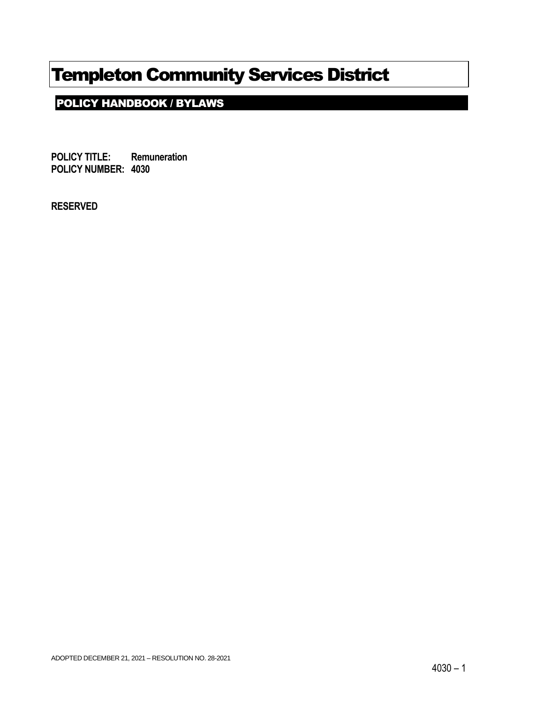## POLICY HANDBOOK / BYLAWS

**POLICY TITLE: Remuneration POLICY NUMBER: 4030**

**RESERVED**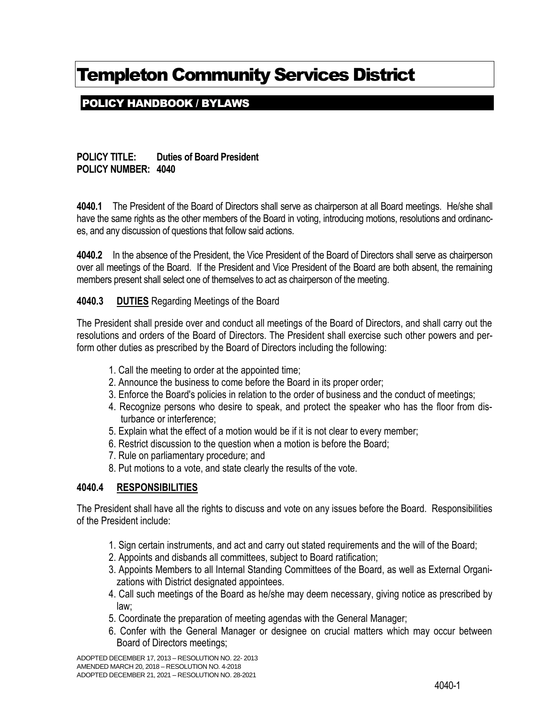## POLICY HANDBOOK / BYLAWS

**POLICY TITLE: Duties of Board President POLICY NUMBER: 4040**

**4040.1** The President of the Board of Directors shall serve as chairperson at all Board meetings. He/she shall have the same rights as the other members of the Board in voting, introducing motions, resolutions and ordinances, and any discussion of questions that follow said actions.

**4040.2** In the absence of the President, the Vice President of the Board of Directors shall serve as chairperson over all meetings of the Board. If the President and Vice President of the Board are both absent, the remaining members present shall select one of themselves to act as chairperson of the meeting.

### **4040.3 DUTIES** Regarding Meetings of the Board

The President shall preside over and conduct all meetings of the Board of Directors, and shall carry out the resolutions and orders of the Board of Directors. The President shall exercise such other powers and perform other duties as prescribed by the Board of Directors including the following:

- 1. Call the meeting to order at the appointed time;
- 2. Announce the business to come before the Board in its proper order;
- 3. Enforce the Board's policies in relation to the order of business and the conduct of meetings;
- 4. Recognize persons who desire to speak, and protect the speaker who has the floor from disturbance or interference;
- 5. Explain what the effect of a motion would be if it is not clear to every member;
- 6. Restrict discussion to the question when a motion is before the Board;
- 7. Rule on parliamentary procedure; and
- 8. Put motions to a vote, and state clearly the results of the vote.

#### **4040.4 RESPONSIBILITIES**

The President shall have all the rights to discuss and vote on any issues before the Board. Responsibilities of the President include:

- 1. Sign certain instruments, and act and carry out stated requirements and the will of the Board;
- 2. Appoints and disbands all committees, subject to Board ratification;
- 3. Appoints Members to all Internal Standing Committees of the Board, as well as External Organizations with District designated appointees.
- 4. Call such meetings of the Board as he/she may deem necessary, giving notice as prescribed by law;
- 5. Coordinate the preparation of meeting agendas with the General Manager;
- 6. Confer with the General Manager or designee on crucial matters which may occur between Board of Directors meetings;

ADOPTED DECEMBER 17, 2013 – RESOLUTION NO. 22- 2013 AMENDED MARCH 20, 2018 – RESOLUTION NO. 4-2018 ADOPTED DECEMBER 21, 2021 – RESOLUTION NO. 28-2021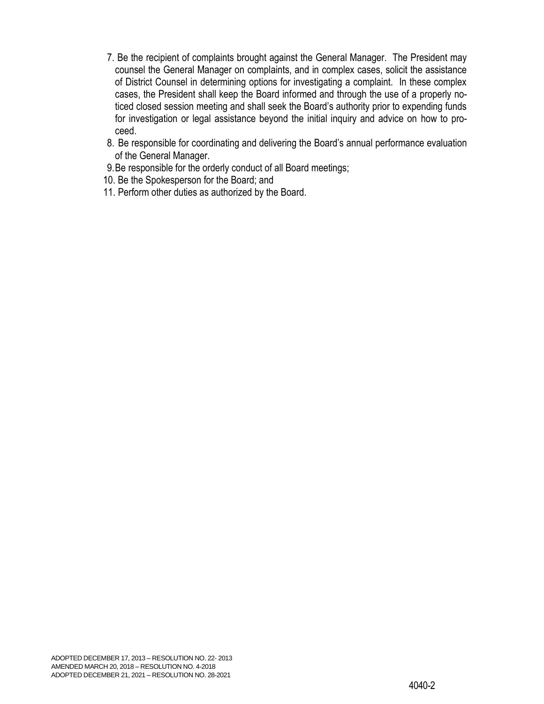- 7. Be the recipient of complaints brought against the General Manager. The President may counsel the General Manager on complaints, and in complex cases, solicit the assistance of District Counsel in determining options for investigating a complaint. In these complex cases, the President shall keep the Board informed and through the use of a properly noticed closed session meeting and shall seek the Board's authority prior to expending funds for investigation or legal assistance beyond the initial inquiry and advice on how to proceed.
- 8. Be responsible for coordinating and delivering the Board's annual performance evaluation of the General Manager.
- 9.Be responsible for the orderly conduct of all Board meetings;
- 10. Be the Spokesperson for the Board; and
- 11. Perform other duties as authorized by the Board.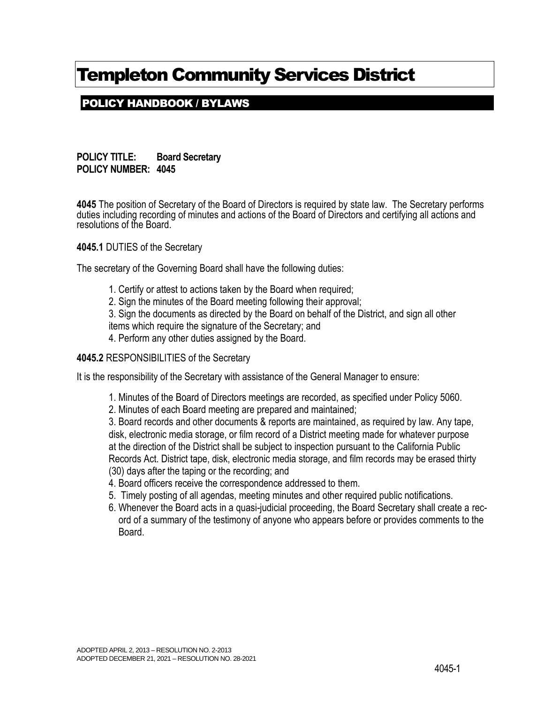## POLICY HANDBOOK / BYLAWS

**POLICY TITLE: Board Secretary POLICY NUMBER: 4045**

**4045** The position of Secretary of the Board of Directors is required by state law. The Secretary performs duties including recording of minutes and actions of the Board of Directors and certifying all actions and resolutions of the Board.

**4045.1** DUTIES of the Secretary

The secretary of the Governing Board shall have the following duties:

- 1. Certify or attest to actions taken by the Board when required;
- 2. Sign the minutes of the Board meeting following their approval;

3. Sign the documents as directed by the Board on behalf of the District, and sign all other

items which require the signature of the Secretary; and

4. Perform any other duties assigned by the Board.

#### **4045.2** RESPONSIBILITIES of the Secretary

It is the responsibility of the Secretary with assistance of the General Manager to ensure:

- 1. Minutes of the Board of Directors meetings are recorded, as specified under Policy 5060.
- 2. Minutes of each Board meeting are prepared and maintained;

3. Board records and other documents & reports are maintained, as required by law. Any tape, disk, electronic media storage, or film record of a District meeting made for whatever purpose at the direction of the District shall be subject to inspection pursuant to the California Public Records Act. District tape, disk, electronic media storage, and film records may be erased thirty (30) days after the taping or the recording; and

- 4. Board officers receive the correspondence addressed to them.
- 5. Timely posting of all agendas, meeting minutes and other required public notifications.
- 6. Whenever the Board acts in a quasi-judicial proceeding, the Board Secretary shall create a record of a summary of the testimony of anyone who appears before or provides comments to the Board.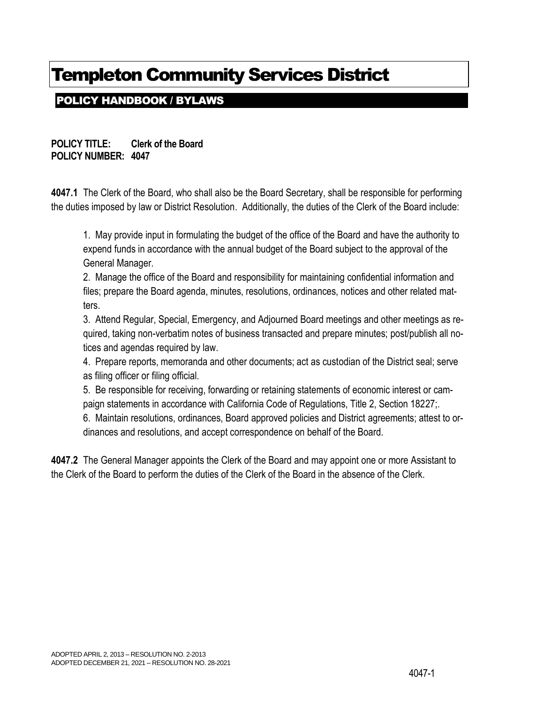## POLICY HANDBOOK / BYLAWS

**POLICY TITLE: Clerk of the Board POLICY NUMBER: 4047**

**4047.1** The Clerk of the Board, who shall also be the Board Secretary, shall be responsible for performing the duties imposed by law or District Resolution. Additionally, the duties of the Clerk of the Board include:

1. May provide input in formulating the budget of the office of the Board and have the authority to expend funds in accordance with the annual budget of the Board subject to the approval of the General Manager.

2. Manage the office of the Board and responsibility for maintaining confidential information and files; prepare the Board agenda, minutes, resolutions, ordinances, notices and other related matters.

3. Attend Regular, Special, Emergency, and Adjourned Board meetings and other meetings as required, taking non-verbatim notes of business transacted and prepare minutes; post/publish all notices and agendas required by law.

4. Prepare reports, memoranda and other documents; act as custodian of the District seal; serve as filing officer or filing official.

5. Be responsible for receiving, forwarding or retaining statements of economic interest or campaign statements in accordance with California Code of Regulations, Title 2, Section 18227;.

6. Maintain resolutions, ordinances, Board approved policies and District agreements; attest to ordinances and resolutions, and accept correspondence on behalf of the Board.

**4047.2** The General Manager appoints the Clerk of the Board and may appoint one or more Assistant to the Clerk of the Board to perform the duties of the Clerk of the Board in the absence of the Clerk.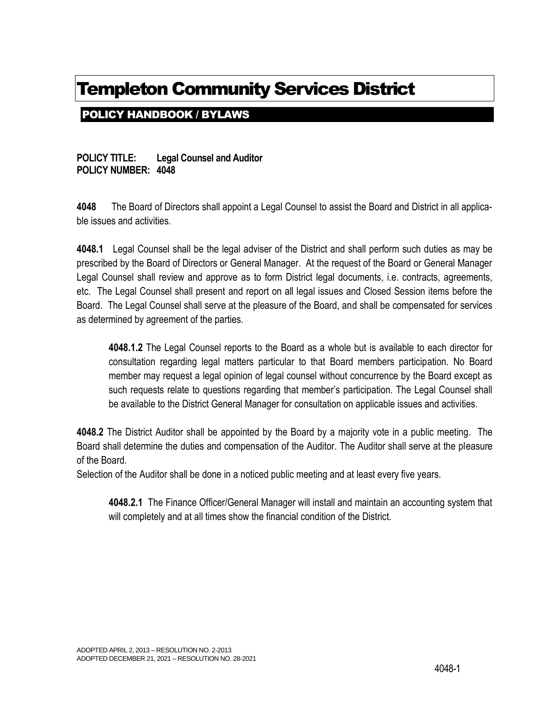## POLICY HANDBOOK / BYLAWS

**POLICY TITLE: Legal Counsel and Auditor POLICY NUMBER: 4048**

**4048** The Board of Directors shall appoint a Legal Counsel to assist the Board and District in all applicable issues and activities.

**4048.1** Legal Counsel shall be the legal adviser of the District and shall perform such duties as may be prescribed by the Board of Directors or General Manager. At the request of the Board or General Manager Legal Counsel shall review and approve as to form District legal documents, i.e. contracts, agreements, etc. The Legal Counsel shall present and report on all legal issues and Closed Session items before the Board. The Legal Counsel shall serve at the pleasure of the Board, and shall be compensated for services as determined by agreement of the parties.

**4048.1.2** The Legal Counsel reports to the Board as a whole but is available to each director for consultation regarding legal matters particular to that Board members participation. No Board member may request a legal opinion of legal counsel without concurrence by the Board except as such requests relate to questions regarding that member's participation. The Legal Counsel shall be available to the District General Manager for consultation on applicable issues and activities.

**4048.2** The District Auditor shall be appointed by the Board by a majority vote in a public meeting. The Board shall determine the duties and compensation of the Auditor. The Auditor shall serve at the pleasure of the Board.

Selection of the Auditor shall be done in a noticed public meeting and at least every five years.

**4048.2.1** The Finance Officer/General Manager will install and maintain an accounting system that will completely and at all times show the financial condition of the District.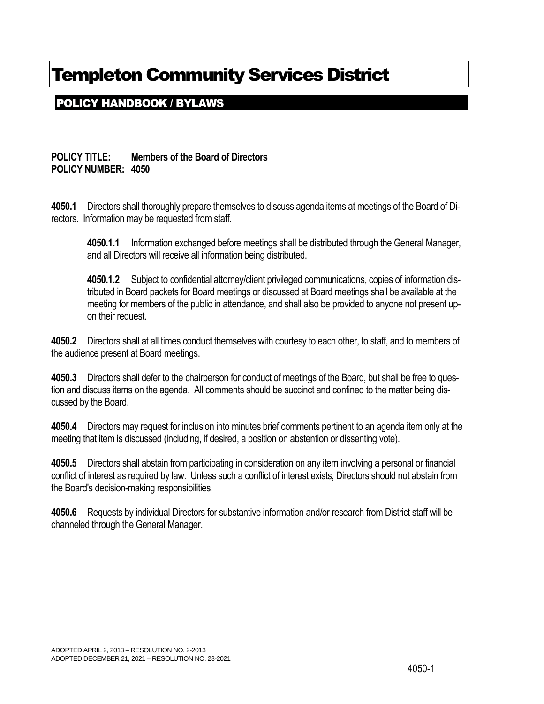## POLICY HANDBOOK / BYLAWS

### **POLICY TITLE: Members of the Board of Directors POLICY NUMBER: 4050**

**4050.1** Directors shall thoroughly prepare themselves to discuss agenda items at meetings of the Board of Directors. Information may be requested from staff.

**4050.1.1** Information exchanged before meetings shall be distributed through the General Manager, and all Directors will receive all information being distributed.

**4050.1.2** Subject to confidential attorney/client privileged communications, copies of information distributed in Board packets for Board meetings or discussed at Board meetings shall be available at the meeting for members of the public in attendance, and shall also be provided to anyone not present upon their request.

**4050.2** Directors shall at all times conduct themselves with courtesy to each other, to staff, and to members of the audience present at Board meetings.

**4050.3** Directors shall defer to the chairperson for conduct of meetings of the Board, but shall be free to question and discuss items on the agenda. All comments should be succinct and confined to the matter being discussed by the Board.

**4050.4** Directors may request for inclusion into minutes brief comments pertinent to an agenda item only at the meeting that item is discussed (including, if desired, a position on abstention or dissenting vote).

**4050.5** Directors shall abstain from participating in consideration on any item involving a personal or financial conflict of interest as required by law. Unless such a conflict of interest exists, Directors should not abstain from the Board's decision-making responsibilities.

**4050.6** Requests by individual Directors for substantive information and/or research from District staff will be channeled through the General Manager.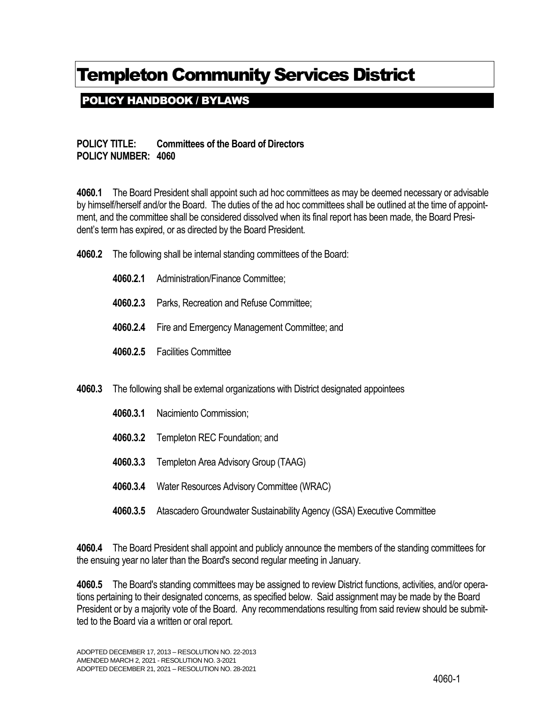POLICY HANDBOOK / BYLAWS

### **POLICY TITLE: Committees of the Board of Directors POLICY NUMBER: 4060**

**4060.1** The Board President shall appoint such ad hoc committees as may be deemed necessary or advisable by himself/herself and/or the Board. The duties of the ad hoc committees shall be outlined at the time of appointment, and the committee shall be considered dissolved when its final report has been made, the Board President's term has expired, or as directed by the Board President.

- **4060.2** The following shall be internal standing committees of the Board:
	- **4060.2.1** Administration/Finance Committee;
	- **4060.2.3** Parks, Recreation and Refuse Committee;
	- **4060.2.4** Fire and Emergency Management Committee; and
	- **4060.2.5** Facilities Committee
- **4060.3** The following shall be external organizations with District designated appointees
	- **4060.3.1** Nacimiento Commission;
	- **4060.3.2** Templeton REC Foundation; and
	- **4060.3.3** Templeton Area Advisory Group (TAAG)
	- **4060.3.4** Water Resources Advisory Committee (WRAC)
	- **4060.3.5** Atascadero Groundwater Sustainability Agency (GSA) Executive Committee

**4060.4** The Board President shall appoint and publicly announce the members of the standing committees for the ensuing year no later than the Board's second regular meeting in January.

**4060.5** The Board's standing committees may be assigned to review District functions, activities, and/or operations pertaining to their designated concerns, as specified below. Said assignment may be made by the Board President or by a majority vote of the Board. Any recommendations resulting from said review should be submitted to the Board via a written or oral report.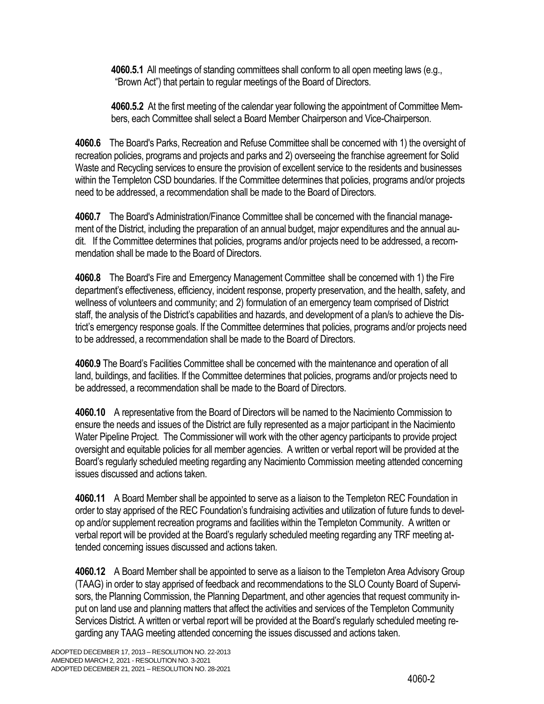**4060.5.1** All meetings of standing committees shall conform to all open meeting laws (e.g., "Brown Act") that pertain to regular meetings of the Board of Directors.

**4060.5.2** At the first meeting of the calendar year following the appointment of Committee Members, each Committee shall select a Board Member Chairperson and Vice-Chairperson.

**4060.6** The Board's Parks, Recreation and Refuse Committee shall be concerned with 1) the oversight of recreation policies, programs and projects and parks and 2) overseeing the franchise agreement for Solid Waste and Recycling services to ensure the provision of excellent service to the residents and businesses within the Templeton CSD boundaries. If the Committee determines that policies, programs and/or projects need to be addressed, a recommendation shall be made to the Board of Directors.

**4060.7** The Board's Administration/Finance Committee shall be concerned with the financial management of the District, including the preparation of an annual budget, major expenditures and the annual audit. If the Committee determines that policies, programs and/or projects need to be addressed, a recommendation shall be made to the Board of Directors.

**4060.8** The Board's Fire and Emergency Management Committee shall be concerned with 1) the Fire department's effectiveness, efficiency, incident response, property preservation, and the health, safety, and wellness of volunteers and community; and 2) formulation of an emergency team comprised of District staff, the analysis of the District's capabilities and hazards, and development of a plan/s to achieve the District's emergency response goals. If the Committee determines that policies, programs and/or projects need to be addressed, a recommendation shall be made to the Board of Directors.

**4060.9** The Board's Facilities Committee shall be concerned with the maintenance and operation of all land, buildings, and facilities. If the Committee determines that policies, programs and/or projects need to be addressed, a recommendation shall be made to the Board of Directors.

**4060.10** A representative from the Board of Directors will be named to the Nacimiento Commission to ensure the needs and issues of the District are fully represented as a major participant in the Nacimiento Water Pipeline Project. The Commissioner will work with the other agency participants to provide project oversight and equitable policies for all member agencies. A written or verbal report will be provided at the Board's regularly scheduled meeting regarding any Nacimiento Commission meeting attended concerning issues discussed and actions taken.

**4060.11** A Board Member shall be appointed to serve as a liaison to the Templeton REC Foundation in order to stay apprised of the REC Foundation's fundraising activities and utilization of future funds to develop and/or supplement recreation programs and facilities within the Templeton Community. A written or verbal report will be provided at the Board's regularly scheduled meeting regarding any TRF meeting attended concerning issues discussed and actions taken.

**4060.12** A Board Member shall be appointed to serve as a liaison to the Templeton Area Advisory Group (TAAG) in order to stay apprised of feedback and recommendations to the SLO County Board of Supervisors, the Planning Commission, the Planning Department, and other agencies that request community input on land use and planning matters that affect the activities and services of the Templeton Community Services District. A written or verbal report will be provided at the Board's regularly scheduled meeting regarding any TAAG meeting attended concerning the issues discussed and actions taken.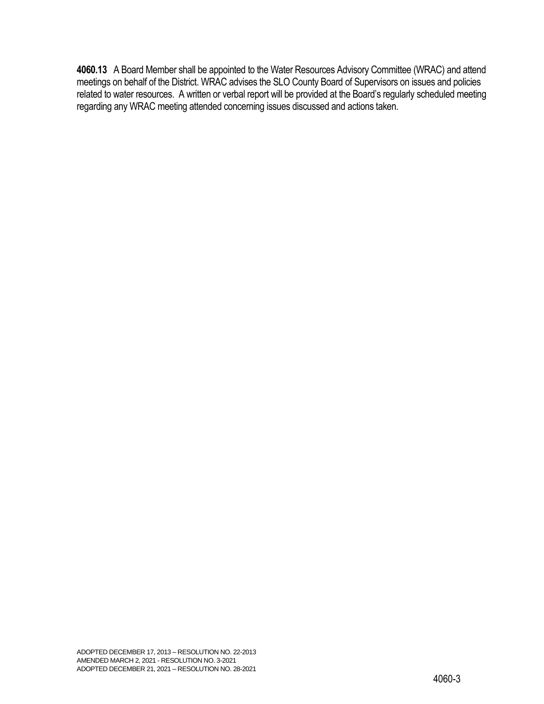**4060.13** A Board Member shall be appointed to the Water Resources Advisory Committee (WRAC) and attend meetings on behalf of the District. WRAC advises the SLO County Board of Supervisors on issues and policies related to water resources. A written or verbal report will be provided at the Board's regularly scheduled meeting regarding any WRAC meeting attended concerning issues discussed and actions taken.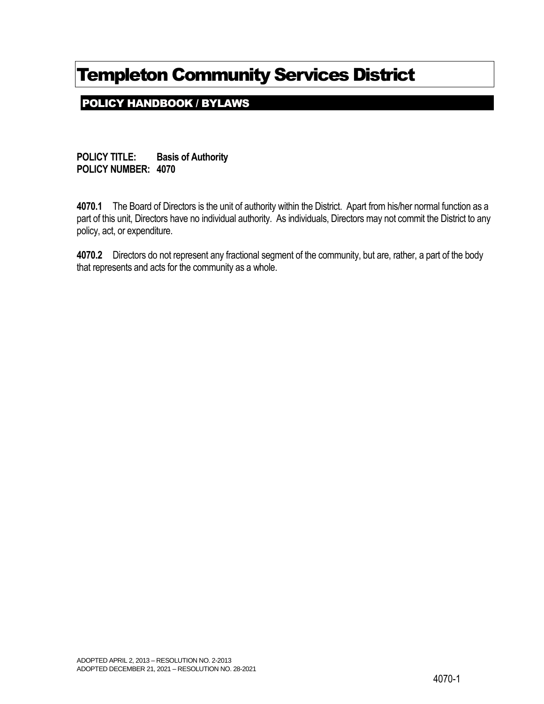POLICY HANDBOOK / BYLAWS

**POLICY TITLE: Basis of Authority POLICY NUMBER: 4070**

**4070.1** The Board of Directors is the unit of authority within the District. Apart from his/her normal function as a part of this unit, Directors have no individual authority. As individuals, Directors may not commit the District to any policy, act, or expenditure.

**4070.2** Directors do not represent any fractional segment of the community, but are, rather, a part of the body that represents and acts for the community as a whole.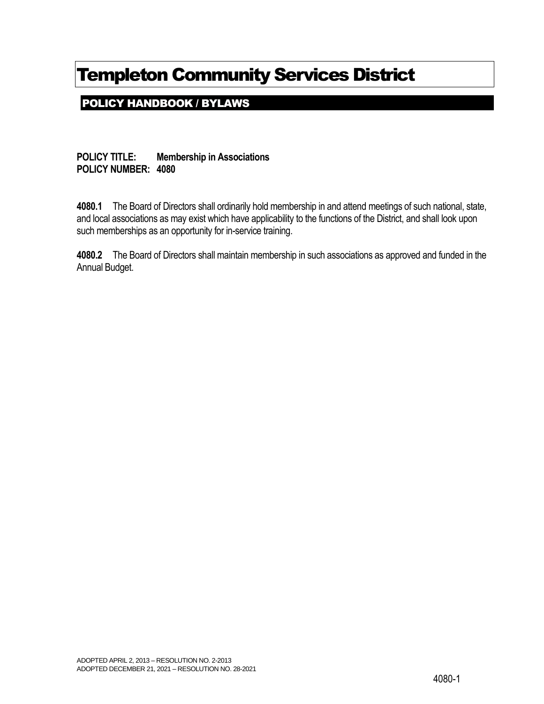POLICY HANDBOOK / BYLAWS

**POLICY TITLE: Membership in Associations POLICY NUMBER: 4080**

**4080.1** The Board of Directors shall ordinarily hold membership in and attend meetings of such national, state, and local associations as may exist which have applicability to the functions of the District, and shall look upon such memberships as an opportunity for in-service training.

**4080.2** The Board of Directors shall maintain membership in such associations as approved and funded in the Annual Budget.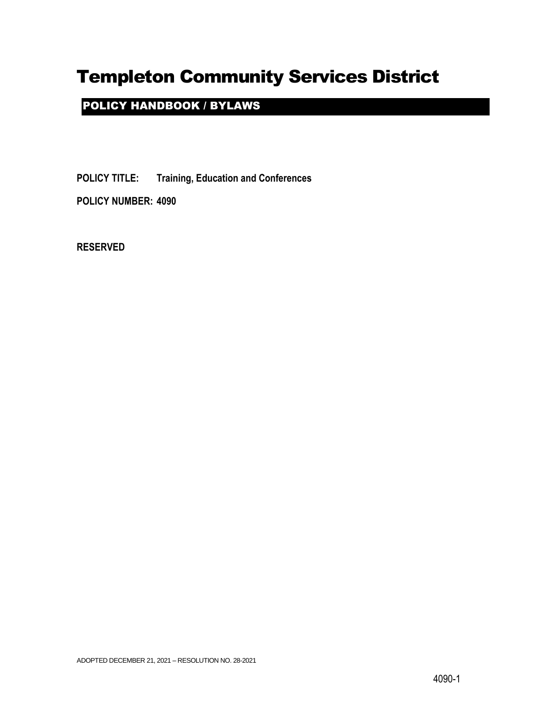## POLICY HANDBOOK / BYLAWS

**POLICY TITLE: Training, Education and Conferences**

**POLICY NUMBER: 4090**

**RESERVED**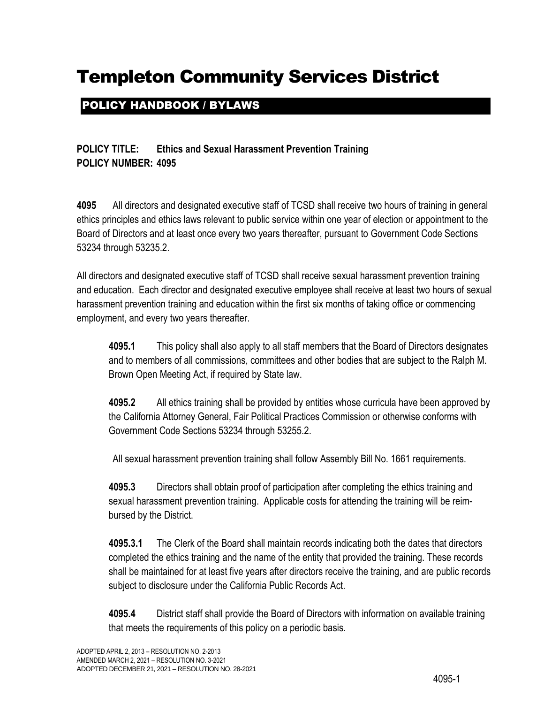## POLICY HANDBOOK / BYLAWS

### **POLICY TITLE: Ethics and Sexual Harassment Prevention Training POLICY NUMBER: 4095**

**4095** All directors and designated executive staff of TCSD shall receive two hours of training in general ethics principles and ethics laws relevant to public service within one year of election or appointment to the Board of Directors and at least once every two years thereafter, pursuant to Government Code Sections 53234 through 53235.2.

All directors and designated executive staff of TCSD shall receive sexual harassment prevention training and education. Each director and designated executive employee shall receive at least two hours of sexual harassment prevention training and education within the first six months of taking office or commencing employment, and every two years thereafter.

**4095.1** This policy shall also apply to all staff members that the Board of Directors designates and to members of all commissions, committees and other bodies that are subject to the Ralph M. Brown Open Meeting Act, if required by State law.

**4095.2** All ethics training shall be provided by entities whose curricula have been approved by the California Attorney General, Fair Political Practices Commission or otherwise conforms with Government Code Sections 53234 through 53255.2.

All sexual harassment prevention training shall follow Assembly Bill No. 1661 requirements.

**4095.3** Directors shall obtain proof of participation after completing the ethics training and sexual harassment prevention training. Applicable costs for attending the training will be reimbursed by the District.

**4095.3.1** The Clerk of the Board shall maintain records indicating both the dates that directors completed the ethics training and the name of the entity that provided the training. These records shall be maintained for at least five years after directors receive the training, and are public records subject to disclosure under the California Public Records Act.

**4095.4** District staff shall provide the Board of Directors with information on available training that meets the requirements of this policy on a periodic basis.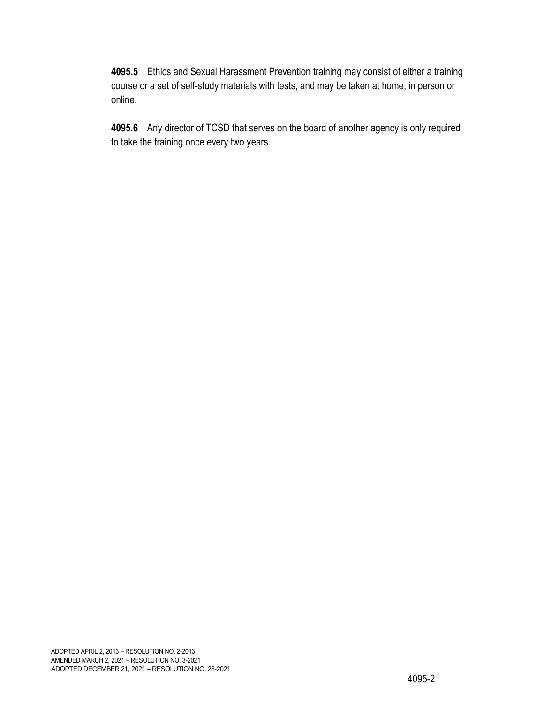**4095.5** Ethics and Sexual Harassment Prevention training may consist of either a training course or a set of self-study materials with tests, and may be taken at home, in person or online.

**4095.6** Any director of TCSD that serves on the board of another agency is only required to take the training once every two years.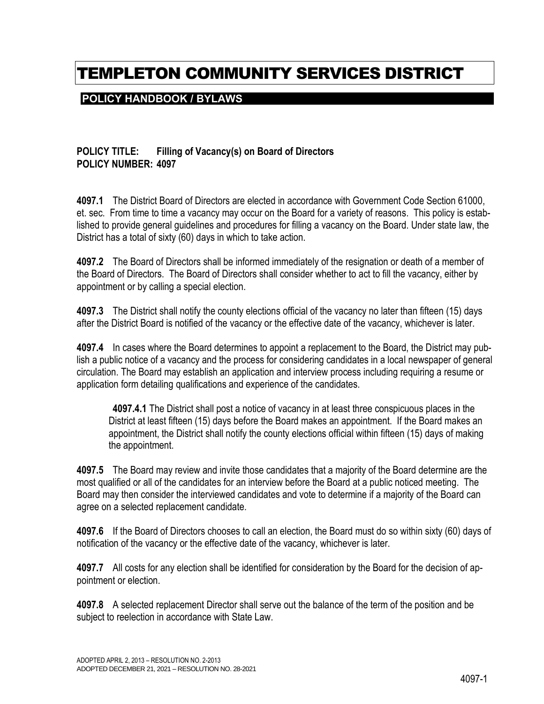## TEMPLETON COMMUNITY SERVICES DISTRICT

### **POLICY HANDBOOK / BYLAWS**

#### **POLICY TITLE: Filling of Vacancy(s) on Board of Directors POLICY NUMBER: 4097**

**4097.1** The District Board of Directors are elected in accordance with Government Code Section 61000, et. sec. From time to time a vacancy may occur on the Board for a variety of reasons. This policy is established to provide general guidelines and procedures for filling a vacancy on the Board. Under state law, the District has a total of sixty (60) days in which to take action.

**4097.2** The Board of Directors shall be informed immediately of the resignation or death of a member of the Board of Directors. The Board of Directors shall consider whether to act to fill the vacancy, either by appointment or by calling a special election.

**4097.3** The District shall notify the county elections official of the vacancy no later than fifteen (15) days after the District Board is notified of the vacancy or the effective date of the vacancy, whichever is later.

**4097.4** In cases where the Board determines to appoint a replacement to the Board, the District may publish a public notice of a vacancy and the process for considering candidates in a local newspaper of general circulation. The Board may establish an application and interview process including requiring a resume or application form detailing qualifications and experience of the candidates.

**4097.4.1** The District shall post a notice of vacancy in at least three conspicuous places in the District at least fifteen (15) days before the Board makes an appointment. If the Board makes an appointment, the District shall notify the county elections official within fifteen (15) days of making the appointment.

**4097.5** The Board may review and invite those candidates that a majority of the Board determine are the most qualified or all of the candidates for an interview before the Board at a public noticed meeting. The Board may then consider the interviewed candidates and vote to determine if a majority of the Board can agree on a selected replacement candidate.

**4097.6** If the Board of Directors chooses to call an election, the Board must do so within sixty (60) days of notification of the vacancy or the effective date of the vacancy, whichever is later.

**4097.7** All costs for any election shall be identified for consideration by the Board for the decision of appointment or election.

**4097.8** A selected replacement Director shall serve out the balance of the term of the position and be subject to reelection in accordance with State Law.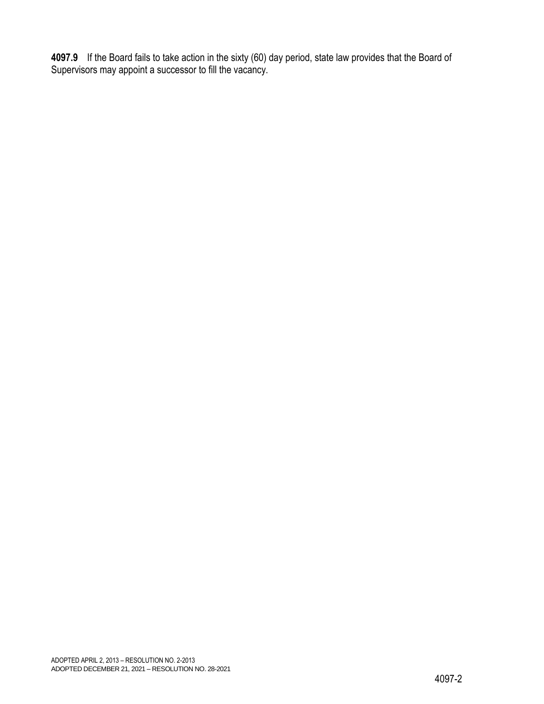**4097.9** If the Board fails to take action in the sixty (60) day period, state law provides that the Board of Supervisors may appoint a successor to fill the vacancy.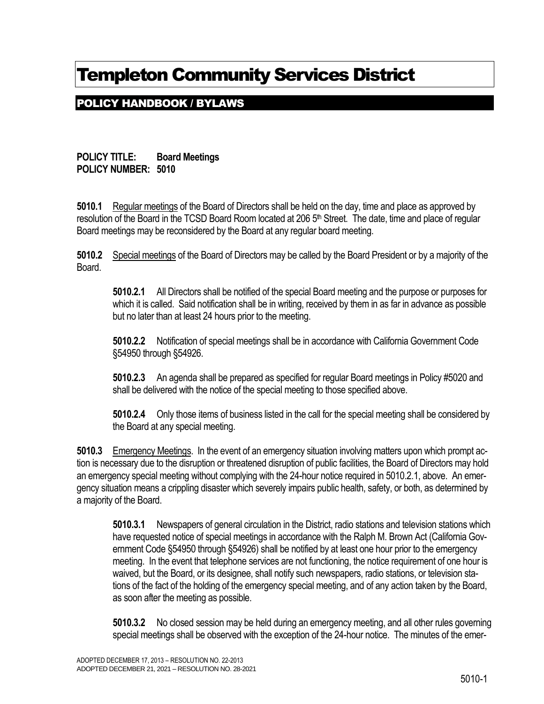## POLICY HANDBOOK / BYLAWS

**POLICY TITLE: Board Meetings POLICY NUMBER: 5010**

**5010.1** Regular meetings of the Board of Directors shall be held on the day, time and place as approved by resolution of the Board in the TCSD Board Room located at 206 5<sup>th</sup> Street. The date, time and place of regular Board meetings may be reconsidered by the Board at any regular board meeting.

**5010.2** Special meetings of the Board of Directors may be called by the Board President or by a majority of the Board.

**5010.2.1** All Directors shall be notified of the special Board meeting and the purpose or purposes for which it is called. Said notification shall be in writing, received by them in as far in advance as possible but no later than at least 24 hours prior to the meeting.

**5010.2.2** Notification of special meetings shall be in accordance with California Government Code §54950 through §54926.

**5010.2.3** An agenda shall be prepared as specified for regular Board meetings in Policy #5020 and shall be delivered with the notice of the special meeting to those specified above.

**5010.2.4** Only those items of business listed in the call for the special meeting shall be considered by the Board at any special meeting.

**5010.3** Emergency Meetings. In the event of an emergency situation involving matters upon which prompt action is necessary due to the disruption or threatened disruption of public facilities, the Board of Directors may hold an emergency special meeting without complying with the 24-hour notice required in 5010.2.1, above. An emergency situation means a crippling disaster which severely impairs public health, safety, or both, as determined by a majority of the Board.

**5010.3.1** Newspapers of general circulation in the District, radio stations and television stations which have requested notice of special meetings in accordance with the Ralph M. Brown Act (California Government Code §54950 through §54926) shall be notified by at least one hour prior to the emergency meeting. In the event that telephone services are not functioning, the notice requirement of one hour is waived, but the Board, or its designee, shall notify such newspapers, radio stations, or television stations of the fact of the holding of the emergency special meeting, and of any action taken by the Board, as soon after the meeting as possible.

**5010.3.2** No closed session may be held during an emergency meeting, and all other rules governing special meetings shall be observed with the exception of the 24-hour notice. The minutes of the emer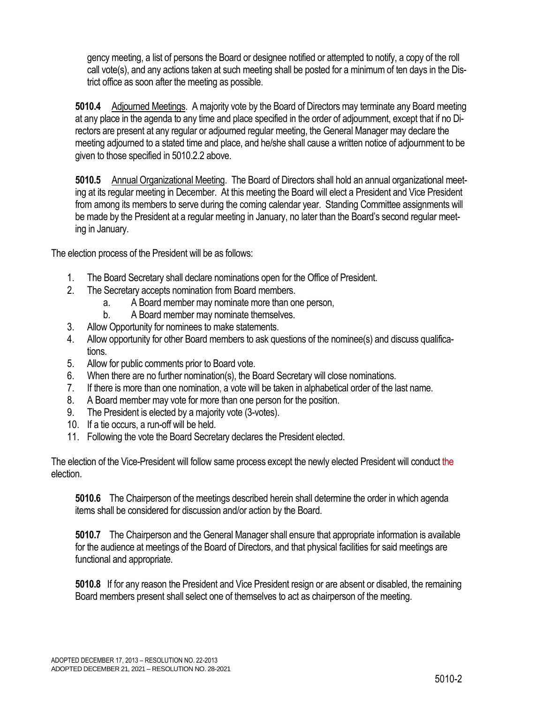gency meeting, a list of persons the Board or designee notified or attempted to notify, a copy of the roll call vote(s), and any actions taken at such meeting shall be posted for a minimum of ten days in the District office as soon after the meeting as possible.

**5010.4** Adjourned Meetings. A majority vote by the Board of Directors may terminate any Board meeting at any place in the agenda to any time and place specified in the order of adjournment, except that if no Directors are present at any regular or adjourned regular meeting, the General Manager may declare the meeting adjourned to a stated time and place, and he/she shall cause a written notice of adjournment to be given to those specified in 5010.2.2 above.

**5010.5** Annual Organizational Meeting. The Board of Directors shall hold an annual organizational meeting at its regular meeting in December. At this meeting the Board will elect a President and Vice President from among its members to serve during the coming calendar year. Standing Committee assignments will be made by the President at a regular meeting in January, no later than the Board's second regular meeting in January.

The election process of the President will be as follows:

- 1. The Board Secretary shall declare nominations open for the Office of President.
- 2. The Secretary accepts nomination from Board members.
	- a. A Board member may nominate more than one person,
	- b. A Board member may nominate themselves.
- 3. Allow Opportunity for nominees to make statements.
- 4. Allow opportunity for other Board members to ask questions of the nominee(s) and discuss qualifications.
- 5. Allow for public comments prior to Board vote.
- 6. When there are no further nomination(s), the Board Secretary will close nominations.
- 7. If there is more than one nomination, a vote will be taken in alphabetical order of the last name.
- 8. A Board member may vote for more than one person for the position.
- 9. The President is elected by a majority vote (3-votes).
- 10. If a tie occurs, a run-off will be held.
- 11. Following the vote the Board Secretary declares the President elected.

The election of the Vice-President will follow same process except the newly elected President will conduct the election.

**5010.6** The Chairperson of the meetings described herein shall determine the order in which agenda items shall be considered for discussion and/or action by the Board.

**5010.7** The Chairperson and the General Manager shall ensure that appropriate information is available for the audience at meetings of the Board of Directors, and that physical facilities for said meetings are functional and appropriate.

**5010.8** If for any reason the President and Vice President resign or are absent or disabled, the remaining Board members present shall select one of themselves to act as chairperson of the meeting.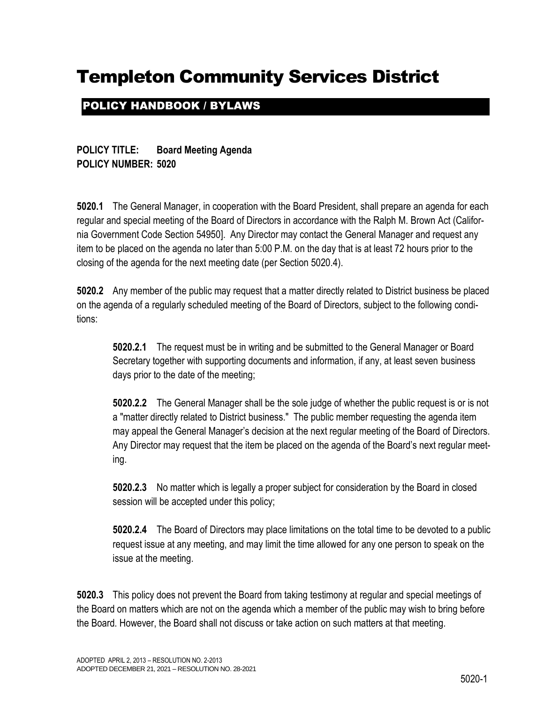## POLICY HANDBOOK / BYLAWS

**POLICY TITLE: Board Meeting Agenda POLICY NUMBER: 5020**

**5020.1** The General Manager, in cooperation with the Board President, shall prepare an agenda for each regular and special meeting of the Board of Directors in accordance with the Ralph M. Brown Act (California Government Code Section 54950]. Any Director may contact the General Manager and request any item to be placed on the agenda no later than 5:00 P.M. on the day that is at least 72 hours prior to the closing of the agenda for the next meeting date (per Section 5020.4).

**5020.2** Any member of the public may request that a matter directly related to District business be placed on the agenda of a regularly scheduled meeting of the Board of Directors, subject to the following conditions:

**5020.2.1** The request must be in writing and be submitted to the General Manager or Board Secretary together with supporting documents and information, if any, at least seven business days prior to the date of the meeting;

**5020.2.2** The General Manager shall be the sole judge of whether the public request is or is not a "matter directly related to District business." The public member requesting the agenda item may appeal the General Manager's decision at the next regular meeting of the Board of Directors. Any Director may request that the item be placed on the agenda of the Board's next regular meeting.

**5020.2.3** No matter which is legally a proper subject for consideration by the Board in closed session will be accepted under this policy;

**5020.2.4** The Board of Directors may place limitations on the total time to be devoted to a public request issue at any meeting, and may limit the time allowed for any one person to speak on the issue at the meeting.

**5020.3** This policy does not prevent the Board from taking testimony at regular and special meetings of the Board on matters which are not on the agenda which a member of the public may wish to bring before the Board. However, the Board shall not discuss or take action on such matters at that meeting.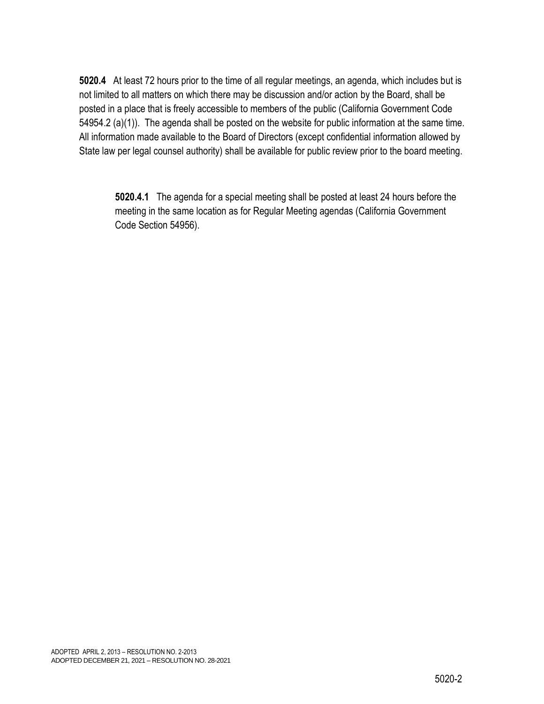**5020.4** At least 72 hours prior to the time of all regular meetings, an agenda, which includes but is not limited to all matters on which there may be discussion and/or action by the Board, shall be posted in a place that is freely accessible to members of the public (California Government Code 54954.2 (a)(1)). The agenda shall be posted on the website for public information at the same time. All information made available to the Board of Directors (except confidential information allowed by State law per legal counsel authority) shall be available for public review prior to the board meeting.

**5020.4.1** The agenda for a special meeting shall be posted at least 24 hours before the meeting in the same location as for Regular Meeting agendas (California Government Code Section 54956).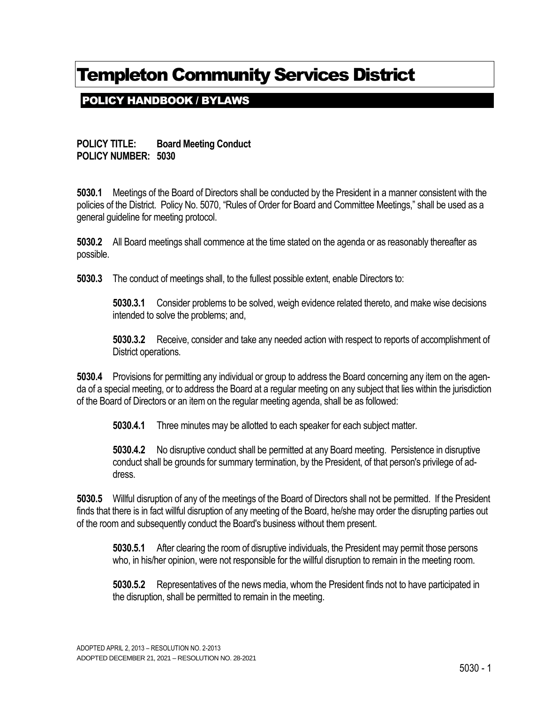## POLICY HANDBOOK / BYLAWS

#### **POLICY TITLE: Board Meeting Conduct POLICY NUMBER: 5030**

**5030.1** Meetings of the Board of Directors shall be conducted by the President in a manner consistent with the policies of the District. Policy No. 5070, "Rules of Order for Board and Committee Meetings," shall be used as a general guideline for meeting protocol.

**5030.2** All Board meetings shall commence at the time stated on the agenda or as reasonably thereafter as possible.

**5030.3** The conduct of meetings shall, to the fullest possible extent, enable Directors to:

**5030.3.1** Consider problems to be solved, weigh evidence related thereto, and make wise decisions intended to solve the problems; and,

**5030.3.2** Receive, consider and take any needed action with respect to reports of accomplishment of District operations.

**5030.4** Provisions for permitting any individual or group to address the Board concerning any item on the agenda of a special meeting, or to address the Board at a regular meeting on any subject that lies within the jurisdiction of the Board of Directors or an item on the regular meeting agenda, shall be as followed:

**5030.4.1** Three minutes may be allotted to each speaker for each subject matter.

**5030.4.2** No disruptive conduct shall be permitted at any Board meeting. Persistence in disruptive conduct shall be grounds for summary termination, by the President, of that person's privilege of address.

**5030.5** Willful disruption of any of the meetings of the Board of Directors shall not be permitted. If the President finds that there is in fact willful disruption of any meeting of the Board, he/she may order the disrupting parties out of the room and subsequently conduct the Board's business without them present.

**5030.5.1** After clearing the room of disruptive individuals, the President may permit those persons who, in his/her opinion, were not responsible for the willful disruption to remain in the meeting room.

**5030.5.2** Representatives of the news media, whom the President finds not to have participated in the disruption, shall be permitted to remain in the meeting.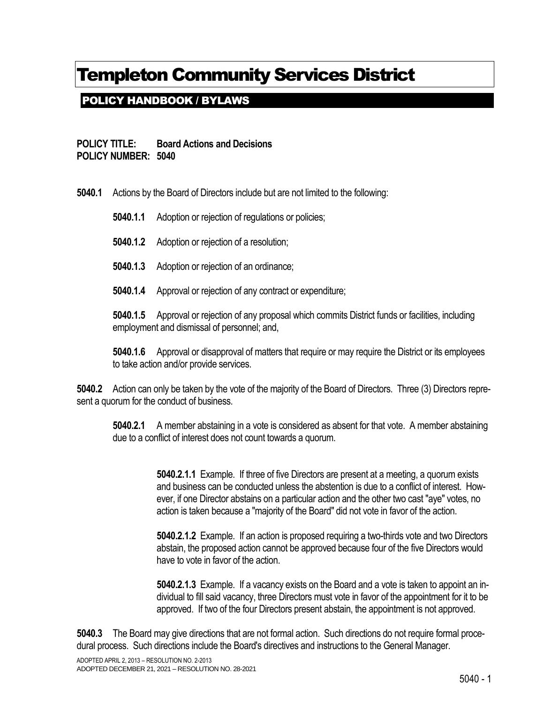## POLICY HANDBOOK / BYLAWS

**POLICY TITLE: Board Actions and Decisions POLICY NUMBER: 5040**

**5040.1** Actions by the Board of Directors include but are not limited to the following:

**5040.1.1** Adoption or rejection of regulations or policies;

- **5040.1.2** Adoption or rejection of a resolution;
- **5040.1.3** Adoption or rejection of an ordinance;
- **5040.1.4** Approval or rejection of any contract or expenditure;

**5040.1.5** Approval or rejection of any proposal which commits District funds or facilities, including employment and dismissal of personnel; and,

**5040.1.6** Approval or disapproval of matters that require or may require the District or its employees to take action and/or provide services.

**5040.2** Action can only be taken by the vote of the majority of the Board of Directors. Three (3) Directors represent a quorum for the conduct of business.

**5040.2.1** A member abstaining in a vote is considered as absent for that vote. A member abstaining due to a conflict of interest does not count towards a quorum.

> **5040.2.1.1** Example. If three of five Directors are present at a meeting, a quorum exists and business can be conducted unless the abstention is due to a conflict of interest. However, if one Director abstains on a particular action and the other two cast "aye" votes, no action is taken because a "majority of the Board" did not vote in favor of the action.

> **5040.2.1.2** Example. If an action is proposed requiring a two-thirds vote and two Directors abstain, the proposed action cannot be approved because four of the five Directors would have to vote in favor of the action.

> **5040.2.1.3** Example. If a vacancy exists on the Board and a vote is taken to appoint an individual to fill said vacancy, three Directors must vote in favor of the appointment for it to be approved. If two of the four Directors present abstain, the appointment is not approved.

**5040.3** The Board may give directions that are not formal action. Such directions do not require formal procedural process. Such directions include the Board's directives and instructions to the General Manager.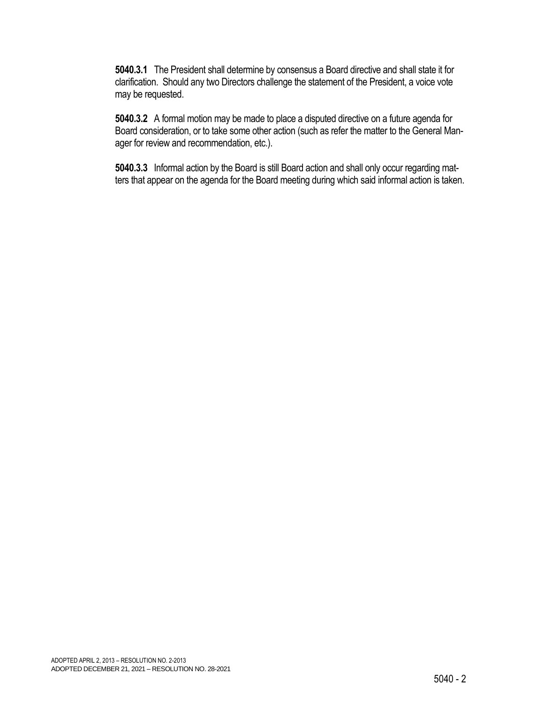**5040.3.1** The President shall determine by consensus a Board directive and shall state it for clarification. Should any two Directors challenge the statement of the President, a voice vote may be requested.

**5040.3.2** A formal motion may be made to place a disputed directive on a future agenda for Board consideration, or to take some other action (such as refer the matter to the General Manager for review and recommendation, etc.).

**5040.3.3** Informal action by the Board is still Board action and shall only occur regarding matters that appear on the agenda for the Board meeting during which said informal action is taken.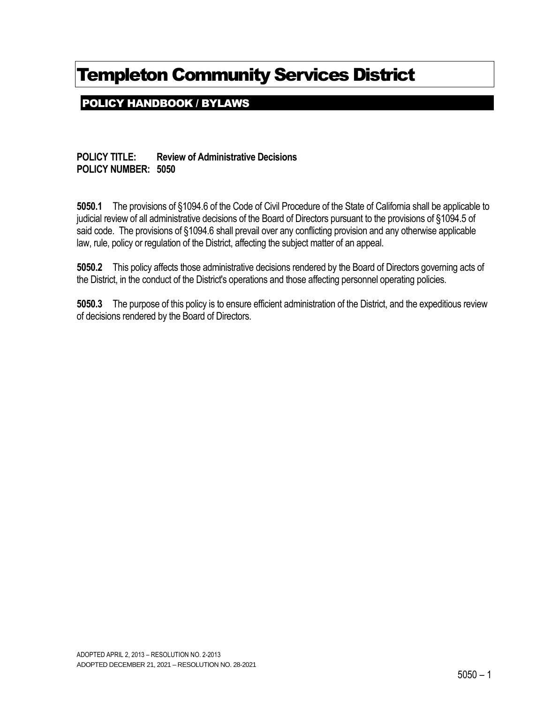POLICY HANDBOOK / BYLAWS

**POLICY TITLE: Review of Administrative Decisions POLICY NUMBER: 5050**

**5050.1** The provisions of §1094.6 of the Code of Civil Procedure of the State of California shall be applicable to judicial review of all administrative decisions of the Board of Directors pursuant to the provisions of §1094.5 of said code. The provisions of §1094.6 shall prevail over any conflicting provision and any otherwise applicable law, rule, policy or regulation of the District, affecting the subject matter of an appeal.

**5050.2** This policy affects those administrative decisions rendered by the Board of Directors governing acts of the District, in the conduct of the District's operations and those affecting personnel operating policies.

**5050.3** The purpose of this policy is to ensure efficient administration of the District, and the expeditious review of decisions rendered by the Board of Directors.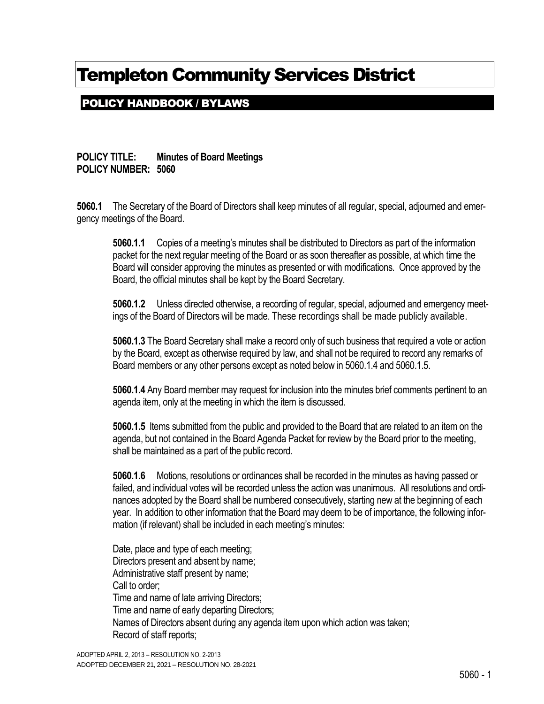## POLICY HANDBOOK / BYLAWS

**POLICY TITLE: Minutes of Board Meetings POLICY NUMBER: 5060**

**5060.1** The Secretary of the Board of Directors shall keep minutes of all regular, special, adjourned and emergency meetings of the Board.

**5060.1.1** Copies of a meeting's minutes shall be distributed to Directors as part of the information packet for the next regular meeting of the Board or as soon thereafter as possible, at which time the Board will consider approving the minutes as presented or with modifications. Once approved by the Board, the official minutes shall be kept by the Board Secretary.

**5060.1.2** Unless directed otherwise, a recording of regular, special, adjourned and emergency meetings of the Board of Directors will be made. These recordings shall be made publicly available.

**5060.1.3** The Board Secretary shall make a record only of such business that required a vote or action by the Board, except as otherwise required by law, and shall not be required to record any remarks of Board members or any other persons except as noted below in 5060.1.4 and 5060.1.5.

**5060.1.4** Any Board member may request for inclusion into the minutes brief comments pertinent to an agenda item, only at the meeting in which the item is discussed.

**5060.1.5** Items submitted from the public and provided to the Board that are related to an item on the agenda, but not contained in the Board Agenda Packet for review by the Board prior to the meeting, shall be maintained as a part of the public record.

**5060.1.6** Motions, resolutions or ordinances shall be recorded in the minutes as having passed or failed, and individual votes will be recorded unless the action was unanimous. All resolutions and ordinances adopted by the Board shall be numbered consecutively, starting new at the beginning of each year. In addition to other information that the Board may deem to be of importance, the following information (if relevant) shall be included in each meeting's minutes:

Date, place and type of each meeting; Directors present and absent by name; Administrative staff present by name; Call to order; Time and name of late arriving Directors; Time and name of early departing Directors; Names of Directors absent during any agenda item upon which action was taken; Record of staff reports;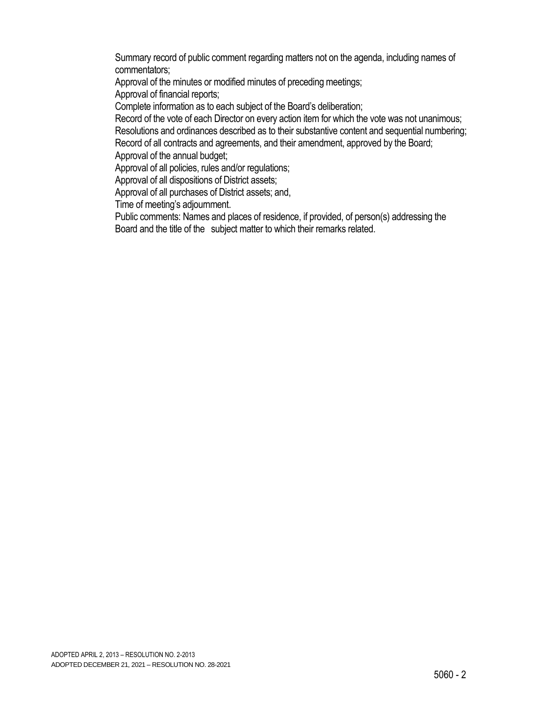Summary record of public comment regarding matters not on the agenda, including names of commentators;

Approval of the minutes or modified minutes of preceding meetings;

Approval of financial reports;

Complete information as to each subject of the Board's deliberation;

Record of the vote of each Director on every action item for which the vote was not unanimous; Resolutions and ordinances described as to their substantive content and sequential numbering; Record of all contracts and agreements, and their amendment, approved by the Board;

Approval of the annual budget;

Approval of all policies, rules and/or regulations;

Approval of all dispositions of District assets;

Approval of all purchases of District assets; and,

Time of meeting's adjournment.

Public comments: Names and places of residence, if provided, of person(s) addressing the Board and the title of the subject matter to which their remarks related.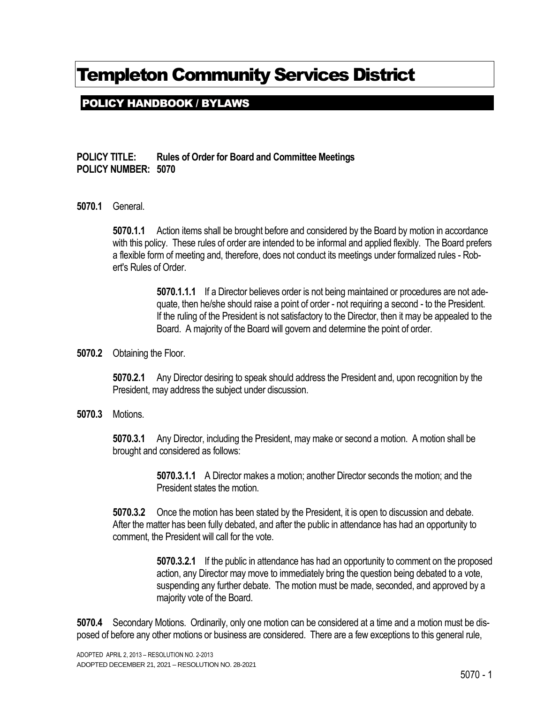## POLICY HANDBOOK / BYLAWS

### **POLICY TITLE: Rules of Order for Board and Committee Meetings POLICY NUMBER: 5070**

**5070.1** General.

**5070.1.1** Action items shall be brought before and considered by the Board by motion in accordance with this policy. These rules of order are intended to be informal and applied flexibly. The Board prefers a flexible form of meeting and, therefore, does not conduct its meetings under formalized rules - Robert's Rules of Order.

> **5070.1.1.1** If a Director believes order is not being maintained or procedures are not adequate, then he/she should raise a point of order - not requiring a second - to the President. If the ruling of the President is not satisfactory to the Director, then it may be appealed to the Board. A majority of the Board will govern and determine the point of order.

**5070.2** Obtaining the Floor.

**5070.2.1** Any Director desiring to speak should address the President and, upon recognition by the President, may address the subject under discussion.

**5070.3** Motions.

**5070.3.1** Any Director, including the President, may make or second a motion. A motion shall be brought and considered as follows:

> **5070.3.1.1** A Director makes a motion; another Director seconds the motion; and the President states the motion.

**5070.3.2** Once the motion has been stated by the President, it is open to discussion and debate. After the matter has been fully debated, and after the public in attendance has had an opportunity to comment, the President will call for the vote.

> **5070.3.2.1** If the public in attendance has had an opportunity to comment on the proposed action, any Director may move to immediately bring the question being debated to a vote, suspending any further debate. The motion must be made, seconded, and approved by a majority vote of the Board.

**5070.4** Secondary Motions. Ordinarily, only one motion can be considered at a time and a motion must be disposed of before any other motions or business are considered. There are a few exceptions to this general rule,